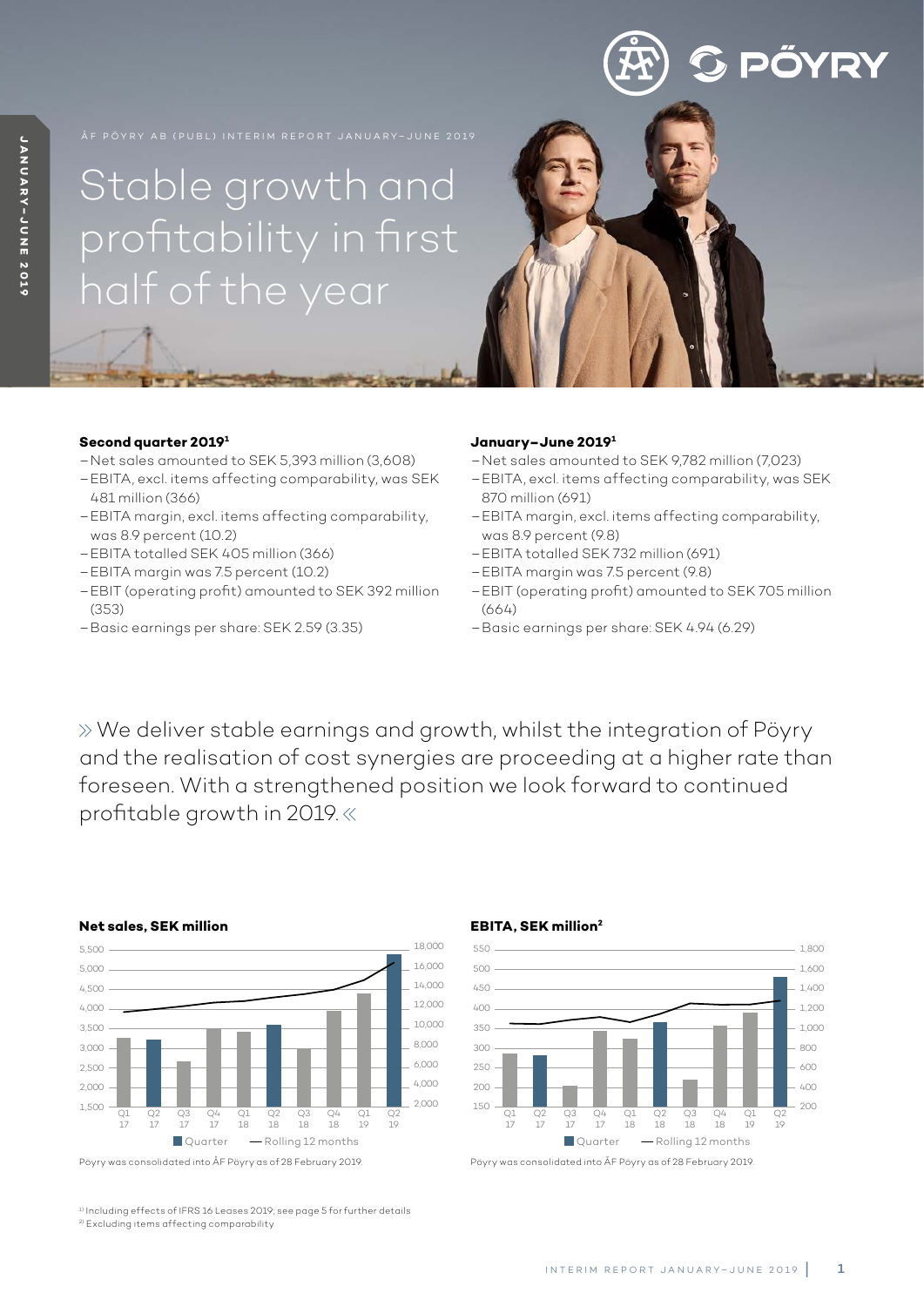# Stable growth and profitability in first half of the year

### **Second quarter 20191**

- Net sales amounted to SEK 5,393 million (3,608)
- EBITA, excl. items affecting comparability, was SEK 481 million (366)
- EBITA margin, excl. items affecting comparability, was 8.9 percent (10.2)
- EBITA totalled SEK 405 million (366)
- EBITA margin was 7.5 percent (10.2)
- EBIT (operating profit) amounted to SEK 392 million (353)
- Basic earnings per share: SEK 2.59 (3.35)

### **January–June 20191**

- Net sales amounted to SEK 9,782 million (7,023)
- EBITA, excl. items affecting comparability, was SEK 870 million (691)

**S PÖYRY** 

- EBITA margin, excl. items affecting comparability, was 8.9 percent (9.8)
- EBITA totalled SEK 732 million (691)
- EBITA margin was 7.5 percent (9.8)
- EBIT (operating profit) amounted to SEK 705 million (664)
- Basic earnings per share: SEK 4.94 (6.29)

 We deliver stable earnings and growth, whilst the integration of Pöyry and the realisation of cost synergies are proceeding at a higher rate than foreseen. With a strengthened position we look forward to continued profitable growth in 2019.



Pöyry was consolidated into ÅF Pöyry as of 28 February 2019. Pöyry was consolidated into ÅF Pöyry as of 28 February 2019.

<sup>1)</sup> Including effects of IFRS 16 Leases 2019; see page 5 for further details 2) Excluding items affecting comparability

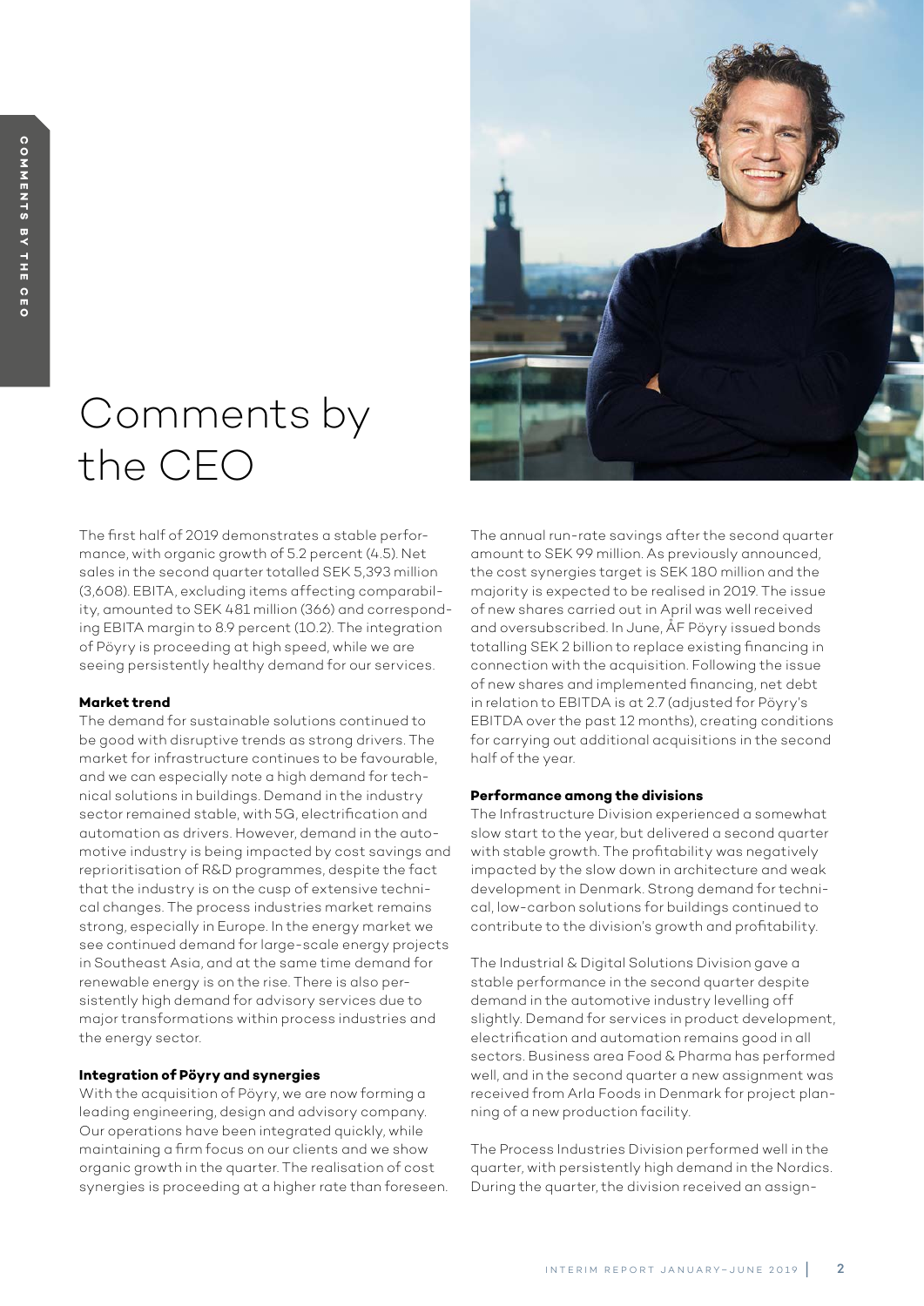# Comments by the CEO

The first half of 2019 demonstrates a stable performance, with organic growth of 5.2 percent (4.5). Net sales in the second quarter totalled SEK 5,393 million (3,608). EBITA, excluding items affecting comparability, amounted to SEK 481 million (366) and corresponding EBITA margin to 8.9 percent (10.2). The integration of Pöyry is proceeding at high speed, while we are seeing persistently healthy demand for our services.

### **Market trend**

The demand for sustainable solutions continued to be good with disruptive trends as strong drivers. The market for infrastructure continues to be favourable, and we can especially note a high demand for technical solutions in buildings. Demand in the industry sector remained stable, with 5G, electrification and automation as drivers. However, demand in the automotive industry is being impacted by cost savings and reprioritisation of R&D programmes, despite the fact that the industry is on the cusp of extensive technical changes. The process industries market remains strong, especially in Europe. In the energy market we see continued demand for large-scale energy projects in Southeast Asia, and at the same time demand for renewable energy is on the rise. There is also persistently high demand for advisory services due to major transformations within process industries and the energy sector.

### **Integration of Pöyry and synergies**

With the acquisition of Pöyry, we are now forming a leading engineering, design and advisory company. Our operations have been integrated quickly, while maintaining a firm focus on our clients and we show organic growth in the quarter. The realisation of cost synergies is proceeding at a higher rate than foreseen.



#### **Performance among the divisions**

The Infrastructure Division experienced a somewhat slow start to the year, but delivered a second quarter with stable growth. The profitability was negatively impacted by the slow down in architecture and weak development in Denmark. Strong demand for technical, low-carbon solutions for buildings continued to contribute to the division's growth and profitability.

The Industrial & Digital Solutions Division gave a stable performance in the second quarter despite demand in the automotive industry levelling off slightly. Demand for services in product development, electrification and automation remains good in all sectors. Business area Food & Pharma has performed well, and in the second quarter a new assignment was received from Arla Foods in Denmark for project planning of a new production facility.

The Process Industries Division performed well in the quarter, with persistently high demand in the Nordics. During the quarter, the division received an assign-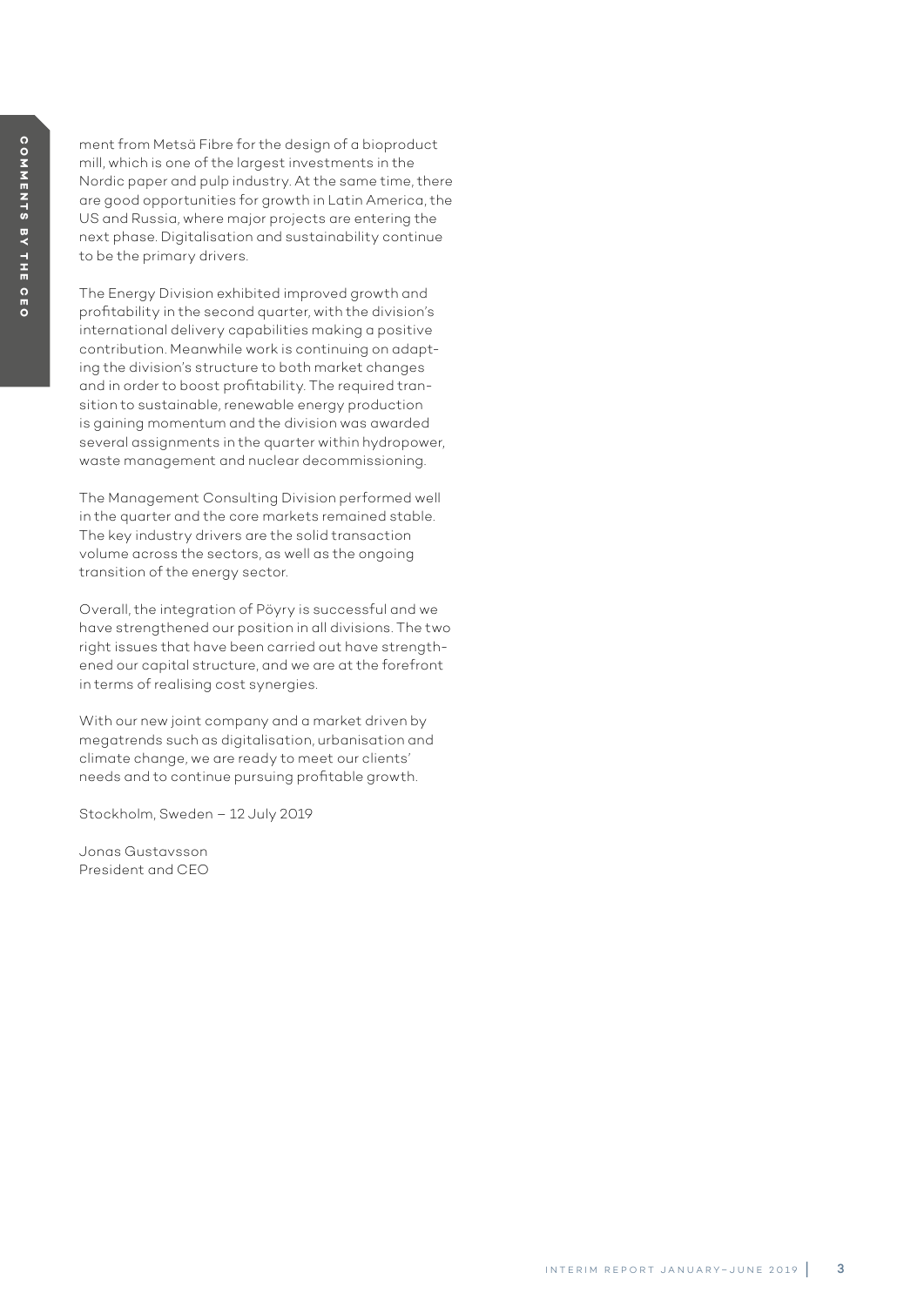ment from Metsä Fibre for the design of a bioproduct mill, which is one of the largest investments in the Nordic paper and pulp industry. At the same time, there are good opportunities for growth in Latin America, the US and Russia, where major projects are entering the next phase. Digitalisation and sustainability continue to be the primary drivers.

The Energy Division exhibited improved growth and profitability in the second quarter, with the division's international delivery capabilities making a positive contribution. Meanwhile work is continuing on adapt ing the division's structure to both market changes and in order to boost profitability. The required tran sition to sustainable, renewable energy production is gaining momentum and the division was awarded several assignments in the quarter within hydropower, waste management and nuclear decommissioning.

The Management Consulting Division performed well in the quarter and the core markets remained stable. The key industry drivers are the solid transaction volume across the sectors, as well as the ongoing transition of the energy sector.

Overall, the integration of Pöyry is successful and we have strengthened our position in all divisions. The two right issues that have been carried out have strength ened our capital structure, and we are at the forefront in terms of realising cost synergies.

With our new joint company and a market driven by megatrends such as digitalisation, urbanisation and climate change, we are ready to meet our clients' needs and to continue pursuing profitable growth.

Stockholm, Sweden – 12 July 2019

Jonas Gustavsson President and CEO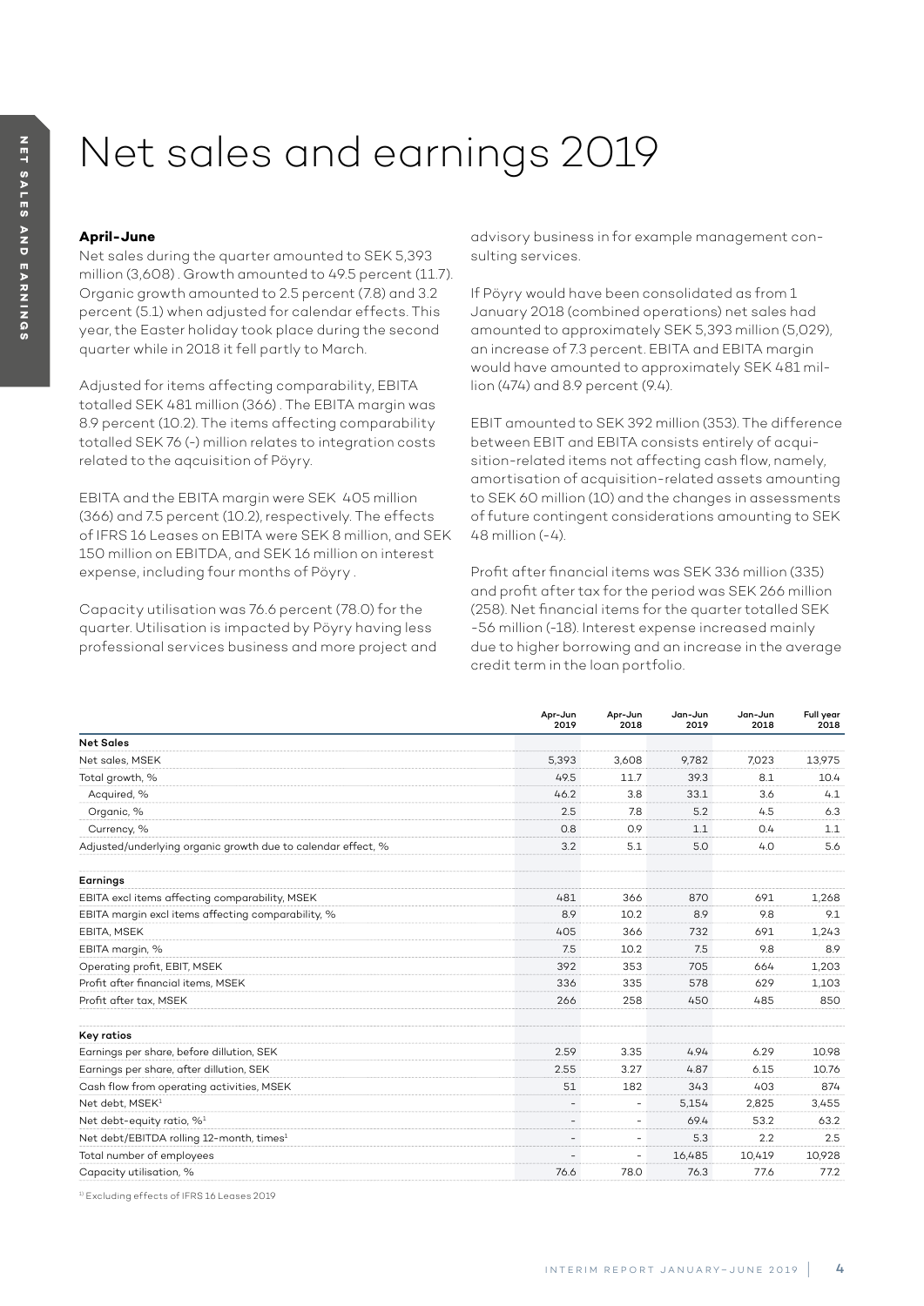# Net sales and earnings 2019

### **April-June**

Net sales during the quarter amounted to SEK 5,393 million (3,608) . Growth amounted to 49.5 percent (11.7). Organic growth amounted to 2.5 percent (7.8) and 3.2 percent (5.1) when adjusted for calendar effects. This year, the Easter holiday took place during the second quarter while in 2018 it fell partly to March.

Adjusted for items affecting comparability, EBITA totalled SEK 481 million (366) . The EBITA margin was 8.9 percent (10.2). The items affecting comparability totalled SEK 76 (-) million relates to integration costs related to the aqcuisition of Pöyry.

EBITA and the EBITA margin were SEK 405 million (366) and 7.5 percent (10.2), respectively. The effects of IFRS 16 Leases on EBITA were SEK 8 million, and SEK 150 million on EBITDA, and SEK 16 million on interest expense, including four months of Pöyry .

Capacity utilisation was 76.6 percent (78.0) for the quarter. Utilisation is impacted by Pöyry having less professional services business and more project and advisory business in for example management consulting services.

If Pöyry would have been consolidated as from 1 January 2018 (combined operations) net sales had amounted to approximately SEK 5,393 million (5,029), an increase of 7.3 percent. EBITA and EBITA margin would have amounted to approximately SEK 481 million (474) and 8.9 percent (9.4).

EBIT amounted to SEK 392 million (353). The difference between EBIT and EBITA consists entirely of acquisition-related items not affecting cash flow, namely, amortisation of acquisition-related assets amounting to SEK 60 million (10) and the changes in assessments of future contingent considerations amounting to SEK 48 million (-4).

Profit after financial items was SEK 336 million (335) and profit after tax for the period was SEK 266 million (258). Net financial items for the quarter totalled SEK -56 million (-18). Interest expense increased mainly due to higher borrowing and an increase in the average credit term in the loan portfolio.

|                                                              | Apr-Jun<br>2019          | Apr-Jun<br>2018 | Jan-Jun<br>2019 | Jan-Jun<br>2018 | Full year<br>2018 |
|--------------------------------------------------------------|--------------------------|-----------------|-----------------|-----------------|-------------------|
| <b>Net Sales</b>                                             |                          |                 |                 |                 |                   |
| Net sales, MSEK                                              | 5.393                    | 3.608           | 9,782           | 7,023           | 13,975            |
| Total growth, %                                              | 49.5                     | 11.7            | 39.3            | 8.1             | 10.4              |
| Acquired, %                                                  | 46.2                     | 3.8             | 33.1            | 3.6             | 4.1               |
| Organic, %                                                   | 2.5                      | 7.8             | 5.2             | 4.5             | 6.3               |
| Currency, %                                                  | 0.8                      | 0.9             | 1.1             | 0.4             | 1.1               |
| Adjusted/underlying organic growth due to calendar effect, % | 3.2                      | 5.1             | 5.0             | 4.0             | 5.6               |
| Earnings                                                     |                          |                 |                 |                 |                   |
| EBITA excl items affecting comparability, MSEK               | 481                      | 366             | 870             | 691             | 1,268             |
| EBITA margin excl items affecting comparability, %           | 8.9                      | 10.2            | 8.9             | 9.8             | 9.1               |
| EBITA, MSEK                                                  | 405                      | 366             | 732             | 691             | 1,243             |
| EBITA margin, %                                              | 7.5                      | 10.2            | 7.5             | 9.8             | 8.9               |
| Operating profit, EBIT, MSEK                                 | 392                      | 353             | 705             | 664             | 1,203             |
| Profit after financial items, MSEK                           | 336                      | 335             | 578             | 629             | 1.103             |
| Profit after tax, MSEK                                       | 266                      | 258             | 450             | 485             | 850               |
| Key ratios                                                   |                          |                 |                 |                 |                   |
| Earnings per share, before dillution, SEK                    | 2.59                     | 3.35            | 4.94            | 6.29            | 10.98             |
| Earnings per share, after dillution, SEK                     | 2.55                     | 3.27            | 4.87            | 6.15            | 10.76             |
| Cash flow from operating activities, MSEK                    | 51                       | 182             | 343             | 403             | 874               |
| Net debt. MSEK <sup>1</sup>                                  | $\overline{\phantom{a}}$ | $\overline{a}$  | 5.154           | 2,825           | 3.455             |
| Net debt-equity ratio, % <sup>1</sup>                        | $\overline{\phantom{a}}$ | $\overline{a}$  | 69.4            | 53.2            | 63.2              |
| Net debt/EBITDA rolling 12-month, times <sup>1</sup>         | $\overline{\phantom{a}}$ | ٠               | 5.3             | 2.2             | 2.5               |
| Total number of employees                                    | $\overline{\phantom{a}}$ | $\overline{a}$  | 16.485          | 10,419          | 10,928            |
| Capacity utilisation, %                                      | 76.6                     | 78.0            | 76.3            | 77.6            | 77.2              |

1) Excluding effects of IFRS 16 Leases 2019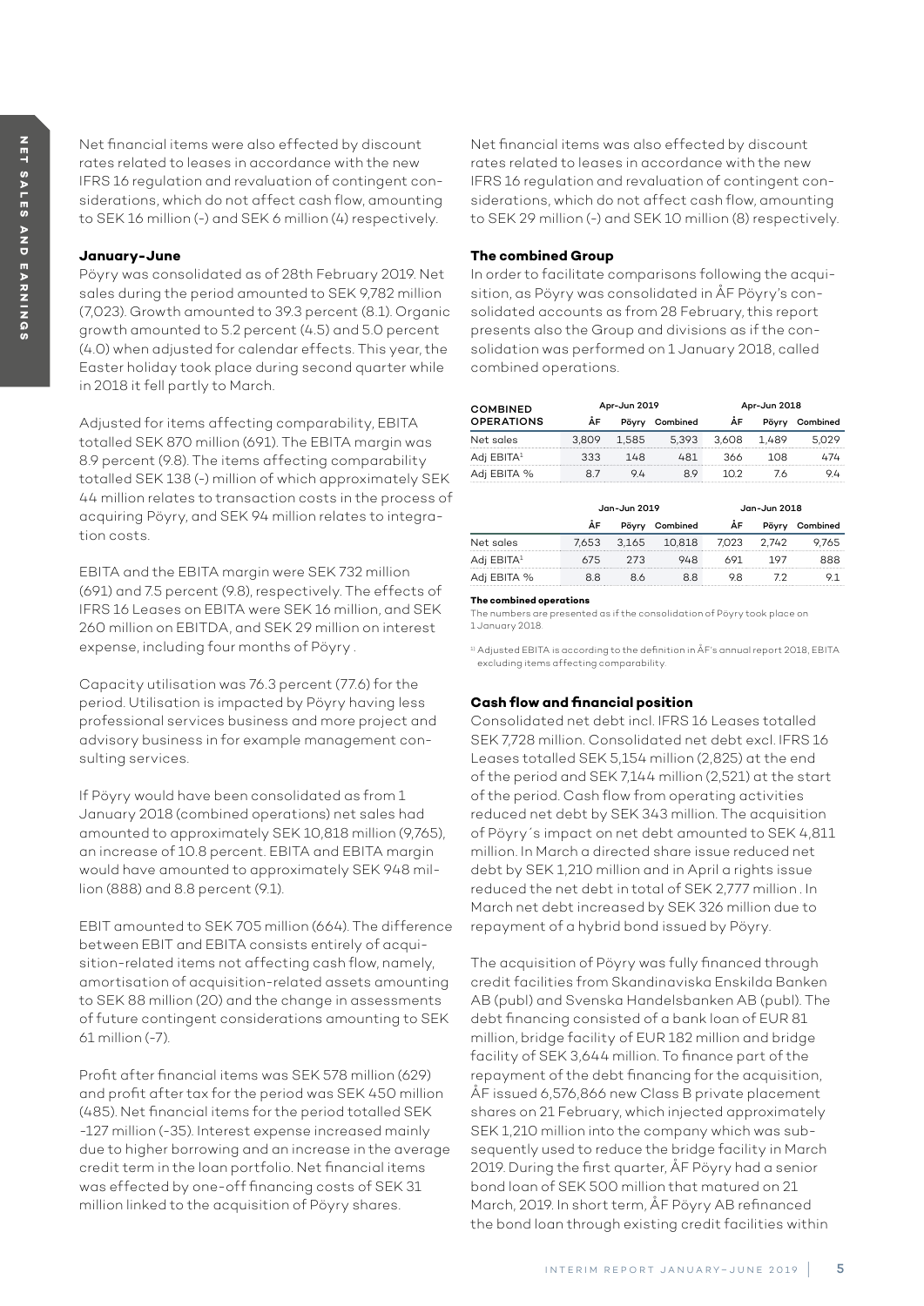### **January-June**

Pöyry was consolidated as of 28th February 2019. Net sales during the period amounted to SEK 9,782 million (7,023). Growth amounted to 39.3 percent (8.1). Organic growth amounted to 5.2 percent (4.5) and 5.0 percent (4.0) when adjusted for calendar effects. This year, the Easter holiday took place during second quarter while in 2018 it fell partly to March.

Adjusted for items affecting comparability, EBITA totalled SEK 870 million (691). The EBITA margin was 8.9 percent (9.8). The items affecting comparability totalled SEK 138 (-) million of which approximately SEK 44 million relates to transaction costs in the process of acquiring Pöyry, and SEK 94 million relates to integration costs.

EBITA and the EBITA margin were SEK 732 million (691) and 7.5 percent (9.8), respectively. The effects of IFRS 16 Leases on EBITA were SEK 16 million, and SEK 260 million on EBITDA, and SEK 29 million on interest expense, including four months of Pöyry .

Capacity utilisation was 76.3 percent (77.6) for the period. Utilisation is impacted by Pöyry having less professional services business and more project and advisory business in for example management consulting services.

If Pöyry would have been consolidated as from 1 January 2018 (combined operations) net sales had amounted to approximately SEK 10,818 million (9,765), an increase of 10.8 percent. EBITA and EBITA margin would have amounted to approximately SEK 948 million (888) and 8.8 percent (9.1).

EBIT amounted to SEK 705 million (664). The difference between EBIT and EBITA consists entirely of acquisition-related items not affecting cash flow, namely, amortisation of acquisition-related assets amounting to SEK 88 million (20) and the change in assessments of future contingent considerations amounting to SEK 61 million (-7).

Profit after financial items was SEK 578 million (629) and profit after tax for the period was SEK 450 million (485). Net financial items for the period totalled SEK -127 million (-35). Interest expense increased mainly due to higher borrowing and an increase in the average credit term in the loan portfolio. Net financial items was effected by one-off financing costs of SEK 31 million linked to the acquisition of Pöyry shares.

Net financial items was also effected by discount rates related to leases in accordance with the new IFRS 16 regulation and revaluation of contingent considerations, which do not affect cash flow, amounting to SEK 29 million (-) and SEK 10 million (8) respectively.

# **The combined Group**

In order to facilitate comparisons following the acquisition, as Pöyry was consolidated in ÅF Pöyry's consolidated accounts as from 28 February, this report presents also the Group and divisions as if the consolidation was performed on 1 January 2018, called combined operations.

| <b>COMBINED</b>        | Apr-Jun 2019 |       |          | Apr-Jun 2018 |       |          |  |
|------------------------|--------------|-------|----------|--------------|-------|----------|--|
| <b>OPERATIONS</b>      | AF           |       | Combined | AF           |       | Combined |  |
| Net sales              | 3.809        | 1.585 | 5.393    | 3.608        | 1.489 |          |  |
| Adj EBITA <sup>1</sup> | 333          | 148   | 481      | 366          | 108   | 474      |  |
| Adi EBITA %            |              | 94    | 89       | 1 N 2        | 76    |          |  |

|                    | Jan-Jun 2019 |       |          |     | Jan-Jun 2018 |          |
|--------------------|--------------|-------|----------|-----|--------------|----------|
|                    | ÅF           |       | Combined | AF  |              | Combined |
| Net sales          | 7.653        | 3.165 | 10,818   | 023 | ムク           |          |
| EBITA <sup>1</sup> | 675          | 273   | LR.      |     |              |          |
| <b>EBITA %</b>     |              |       | 88       | я   |              |          |

#### **The combined operations**

The numbers are presented as if the consolidation of Pöyry took place on 1 January 2018.

1) Adjusted EBITA is according to the definition in ÅF's annual report 2018, EBITA excluding items affecting comparability.

# **Cash flow and financial position**

Consolidated net debt incl. IFRS 16 Leases totalled SEK 7,728 million. Consolidated net debt excl. IFRS 16 Leases totalled SEK 5,154 million (2,825) at the end of the period and SEK 7,144 million (2,521) at the start of the period. Cash flow from operating activities reduced net debt by SEK 343 million. The acquisition of Pöyry´s impact on net debt amounted to SEK 4,811 million. In March a directed share issue reduced net debt by SEK 1,210 million and in April a rights issue reduced the net debt in total of SEK 2,777 million . In March net debt increased by SEK 326 million due to repayment of a hybrid bond issued by Pöyry.

The acquisition of Pöyry was fully financed through credit facilities from Skandinaviska Enskilda Banken AB (publ) and Svenska Handelsbanken AB (publ). The debt financing consisted of a bank loan of EUR 81 million, bridge facility of EUR 182 million and bridge facility of SEK 3,644 million. To finance part of the repayment of the debt financing for the acquisition, ÅF issued 6,576,866 new Class B private placement shares on 21 February, which injected approximately SEK 1,210 million into the company which was subsequently used to reduce the bridge facility in March 2019. During the first quarter, ÅF Pöyry had a senior bond loan of SEK 500 million that matured on 21 March, 2019. In short term, ÅF Pöyry AB refinanced the bond loan through existing credit facilities within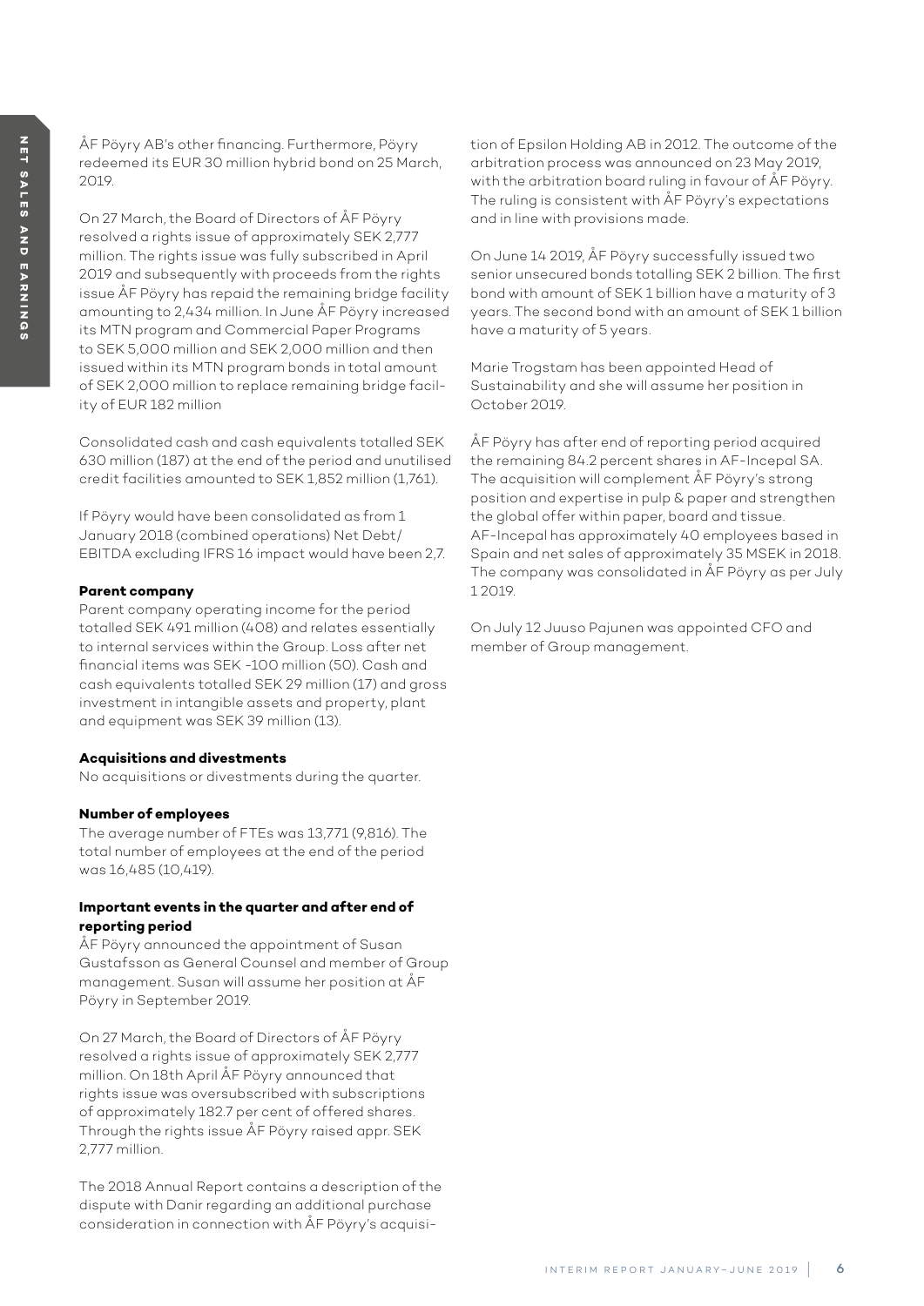ÅF Pöyry AB's other financing. Furthermore, Pöyry redeemed its EUR 30 million hybrid bond on 25 March, 2019.

On 27 March, the Board of Directors of ÅF Pöyry resolved a rights issue of approximately SEK 2,777 million. The rights issue was fully subscribed in April 2019 and subsequently with proceeds from the rights issue ÅF Pöyry has repaid the remaining bridge facility amounting to 2,434 million. In June ÅF Pöyry increased its MTN program and Commercial Paper Programs to SEK 5,000 million and SEK 2,000 million and then issued within its MTN program bonds in total amount of SEK 2,000 million to replace remaining bridge facility of EUR 182 million

Consolidated cash and cash equivalents totalled SEK 630 million (187) at the end of the period and unutilised credit facilities amounted to SEK 1,852 million (1,761).

If Pöyry would have been consolidated as from 1 January 2018 (combined operations) Net Debt/ EBITDA excluding IFRS 16 impact would have been 2,7.

### **Parent company**

Parent company operating income for the period totalled SEK 491 million (408) and relates essentially to internal services within the Group. Loss after net financial items was SEK -100 million (50). Cash and cash equivalents totalled SEK 29 million (17) and gross investment in intangible assets and property, plant and equipment was SEK 39 million (13).

### **Acquisitions and divestments**

No acquisitions or divestments during the quarter.

### **Number of employees**

The average number of FTEs was 13,771 (9,816). The total number of employees at the end of the period was 16,485 (10,419).

### **Important events in the quarter and after end of reporting period**

ÅF Pöyry announced the appointment of Susan Gustafsson as General Counsel and member of Group management. Susan will assume her position at ÅF Pöyry in September 2019.

On 27 March, the Board of Directors of ÅF Pöyry resolved a rights issue of approximately SEK 2,777 million. On 18th April ÅF Pöyry announced that rights issue was oversubscribed with subscriptions of approximately 182.7 per cent of offered shares. Through the rights issue ÅF Pöyry raised appr. SEK 2,777 million.

The 2018 Annual Report contains a description of the dispute with Danir regarding an additional purchase consideration in connection with ÅF Pöyry's acquisition of Epsilon Holding AB in 2012. The outcome of the arbitration process was announced on 23 May 2019, with the arbitration board ruling in favour of ÅF Pöyry. The ruling is consistent with ÅF Pöyry's expectations and in line with provisions made.

On June 14 2019, ÅF Pöyry successfully issued two senior unsecured bonds totalling SEK 2 billion. The first bond with amount of SEK 1 billion have a maturity of 3 years. The second bond with an amount of SEK 1 billion have a maturity of 5 years.

Marie Trogstam has been appointed Head of Sustainability and she will assume her position in October 2019.

ÅF Pöyry has after end of reporting period acquired the remaining 84.2 percent shares in AF-Incepal SA. The acquisition will complement ÅF Pöyry's strong position and expertise in pulp & paper and strengthen the global offer within paper, board and tissue. AF-Incepal has approximately 40 employees based in Spain and net sales of approximately 35 MSEK in 2018. The company was consolidated in ÅF Pöyry as per July 1 2019.

On July 12 Juuso Pajunen was appointed CFO and member of Group management.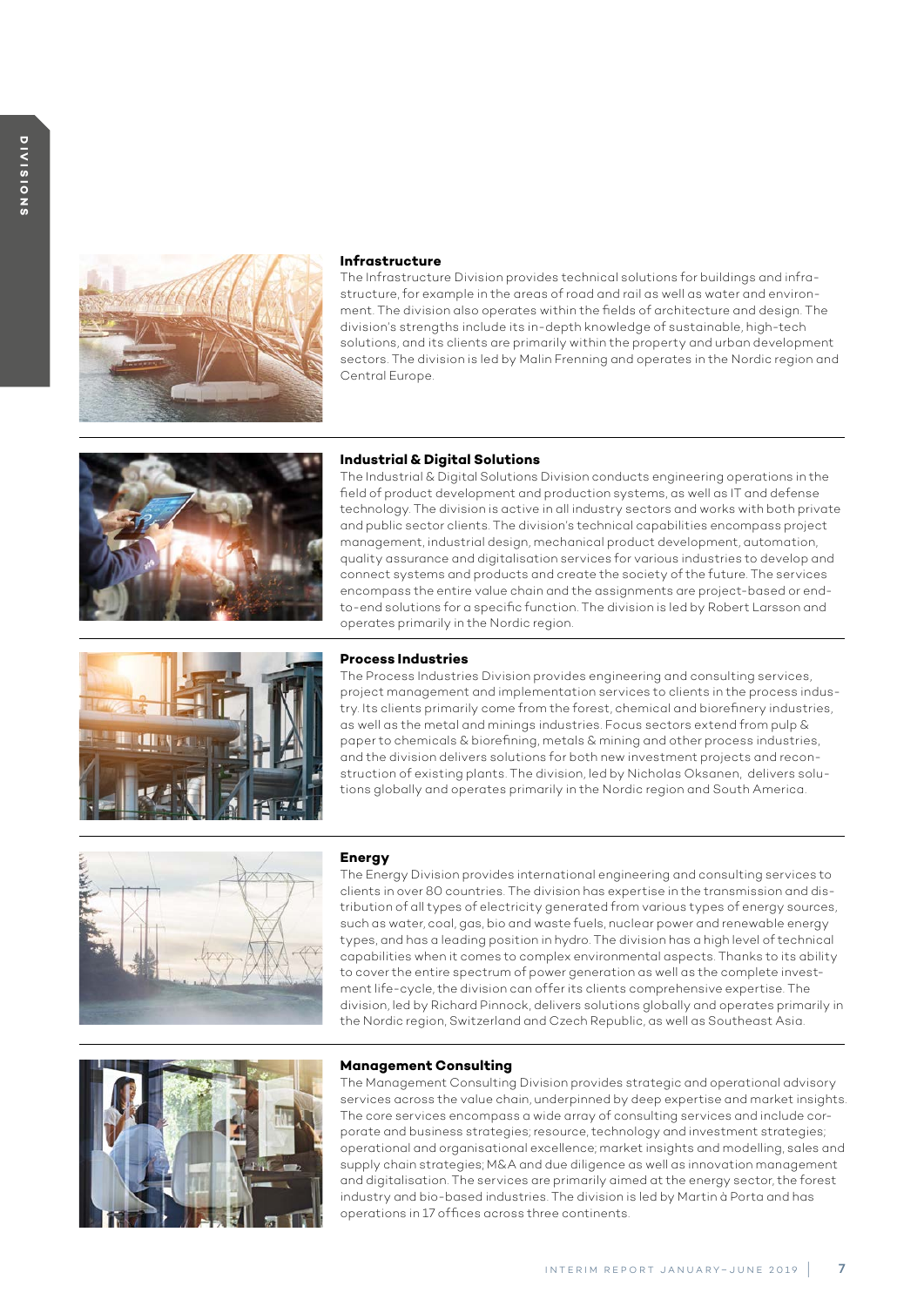

#### **Infrastructure**

The Infrastructure Division provides technical solutions for buildings and infrastructure, for example in the areas of road and rail as well as water and environment. The division also operates within the fields of architecture and design. The division's strengths include its in-depth knowledge of sustainable, high-tech solutions, and its clients are primarily within the property and urban development sectors. The division is led by Malin Frenning and operates in the Nordic region and Central Europe.



### **Industrial & Digital Solutions**

The Industrial & Digital Solutions Division conducts engineering operations in the field of product development and production systems, as well as IT and defense technology. The division is active in all industry sectors and works with both private and public sector clients. The division's technical capabilities encompass project management, industrial design, mechanical product development, automation, quality assurance and digitalisation services for various industries to develop and connect systems and products and create the society of the future. The services encompass the entire value chain and the assignments are project-based or endto-end solutions for a specific function. The division is led by Robert Larsson and operates primarily in the Nordic region.



#### **Process Industries**

The Process Industries Division provides engineering and consulting services, project management and implementation services to clients in the process industry. Its clients primarily come from the forest, chemical and biorefinery industries, as well as the metal and minings industries. Focus sectors extend from pulp & paper to chemicals & biorefining, metals & mining and other process industries, and the division delivers solutions for both new investment projects and reconstruction of existing plants. The division, led by Nicholas Oksanen, delivers solutions globally and operates primarily in the Nordic region and South America.



#### **Energy**

The Energy Division provides international engineering and consulting services to clients in over 80 countries. The division has expertise in the transmission and distribution of all types of electricity generated from various types of energy sources, such as water, coal, gas, bio and waste fuels, nuclear power and renewable energy types, and has a leading position in hydro. The division has a high level of technical capabilities when it comes to complex environmental aspects. Thanks to its ability to cover the entire spectrum of power generation as well as the complete investment life-cycle, the division can offer its clients comprehensive expertise. The division, led by Richard Pinnock, delivers solutions globally and operates primarily in the Nordic region, Switzerland and Czech Republic, as well as Southeast Asia.



### **Management Consulting**

The Management Consulting Division provides strategic and operational advisory services across the value chain, underpinned by deep expertise and market insights. The core services encompass a wide array of consulting services and include corporate and business strategies; resource, technology and investment strategies; operational and organisational excellence; market insights and modelling, sales and supply chain strategies; M&A and due diligence as well as innovation management and digitalisation. The services are primarily aimed at the energy sector, the forest industry and bio-based industries. The division is led by Martin à Porta and has operations in 17 offices across three continents.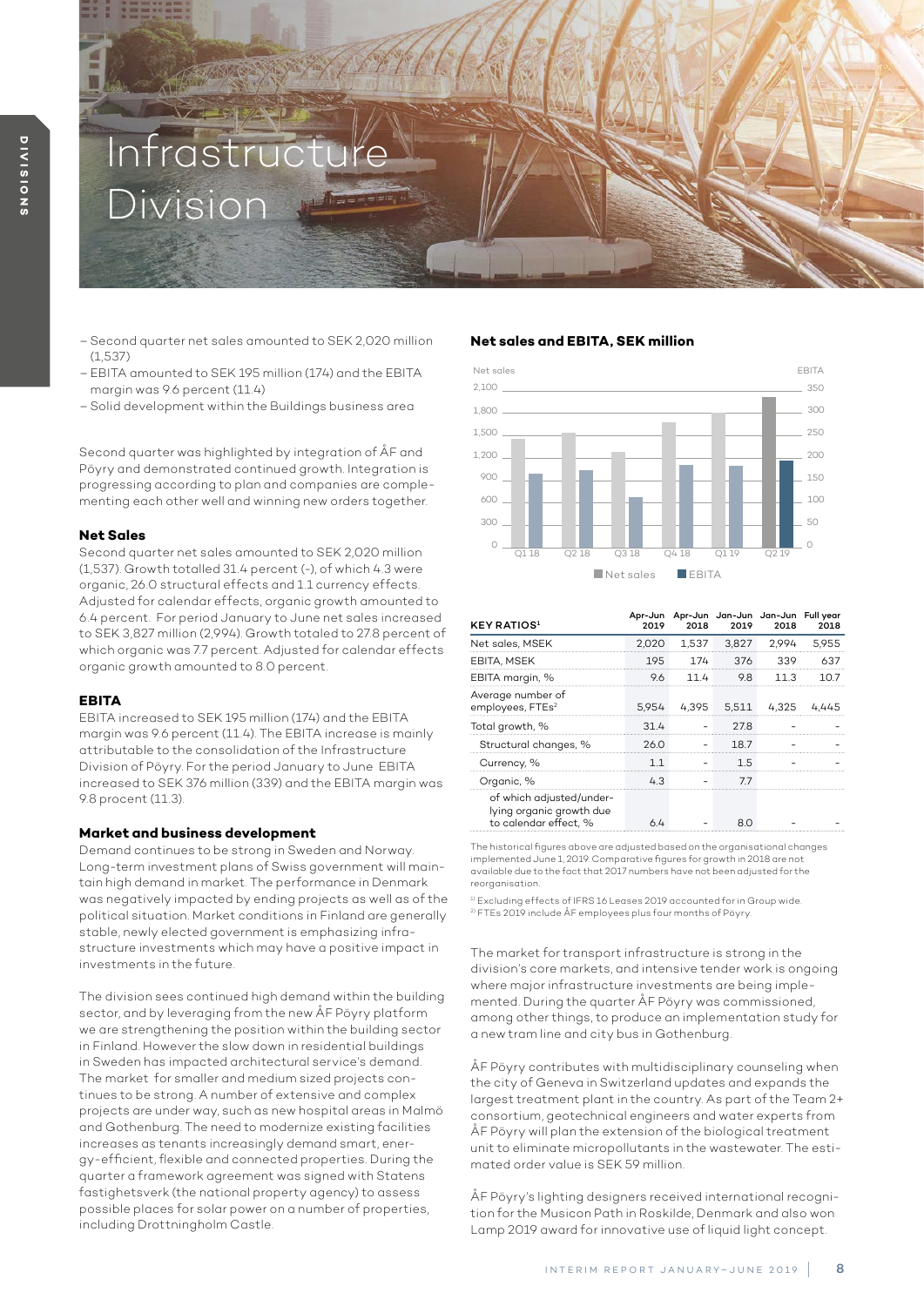# Infras Division

- Second quarter net sales amounted to SEK 2,020 million **Net sales and EBITA, SEK million** (1,537)
- EBITA amounted to SEK 195 million (174) and the EBITA margin was 9.6 percent (11.4)
- Solid development within the Buildings business area

Second quarter was highlighted by integration of ÅF and Pöyry and demonstrated continued growth. Integration is progressing according to plan and companies are complementing each other well and winning new orders together.

### **Net Sales**

Second quarter net sales amounted to SEK 2,020 million (1,537). Growth totalled 31.4 percent (-), of which 4.3 were organic, 26.0 structural effects and 1.1 currency effects. Adjusted for calendar effects, organic growth amounted to 6.4 percent. For period January to June net sales increased to SEK 3,827 million (2,994). Growth totaled to 27.8 percent of which organic was 7.7 percent. Adjusted for calendar effects organic growth amounted to 8.0 percent.

#### **EBITA**

EBITA increased to SEK 195 million (174) and the EBITA margin was 9.6 percent (11.4). The EBITA increase is mainly attributable to the consolidation of the Infrastructure Division of Pöyry. For the period January to June EBITA increased to SEK 376 million (339) and the EBITA margin was 9.8 procent (11.3).

#### **Market and business development**

Demand continues to be strong in Sweden and Norway. Long-term investment plans of Swiss government will maintain high demand in market. The performance in Denmark was negatively impacted by ending projects as well as of the political situation. Market conditions in Finland are generally stable, newly elected government is emphasizing infrastructure investments which may have a positive impact in investments in the future.

The division sees continued high demand within the building sector, and by leveraging from the new ÅF Pöyry platform we are strengthening the position within the building sector in Finland. However the slow down in residential buildings in Sweden has impacted architectural service's demand. The market for smaller and medium sized projects continues to be strong. A number of extensive and complex projects are under way, such as new hospital areas in Malmö and Gothenburg. The need to modernize existing facilities increases as tenants increasingly demand smart, energy-efficient, flexible and connected properties. During the quarter a framework agreement was signed with Statens fastighetsverk (the national property agency) to assess possible places for solar power on a number of properties, including Drottningholm Castle.



| <b>KEY RATIOS</b> <sup>1</sup>                                                | 2019  | 2018 | 2019        | Apr-Jun Apr-Jun Jan-Jun Jan-Jun Fullyear<br>2018 | 2018  |
|-------------------------------------------------------------------------------|-------|------|-------------|--------------------------------------------------|-------|
| Net sales, MSEK                                                               | 2.020 |      | 1,537 3,827 | 2.994                                            | 5.955 |
| EBITA, MSEK                                                                   | 195   |      | 174 376     | 339                                              | 637   |
| EBITA margin, %                                                               | 9.6   | 114  | 9.8         | 11 3                                             |       |
| Average number of<br>employees, FTEs <sup>2</sup>                             |       |      |             | 5,954 4,395 5,511 4,325                          |       |
| Total growth, %                                                               | 314   |      | 278         |                                                  |       |
| Structural changes, %                                                         | 26.0  |      | 187         |                                                  |       |
| Currency, %                                                                   |       |      | 1.5         |                                                  |       |
| Organic, %                                                                    | 43    |      | 77          |                                                  |       |
| of which adjusted/under-<br>lying organic growth due<br>to calendar effect. % |       |      | 80          |                                                  |       |

The historical figures above are adjusted based on the organisational changes implemented June 1, 2019. Comparative figures for growth in 2018 are not available due to the fact that 2017 numbers have not been adjusted for the reorganisation.

<sup>1)</sup> Excluding effects of IFRS 16 Leases 2019 accounted for in Group wide. 2) FTEs 2019 include ÅF employees plus four months of Pöyry.

The market for transport infrastructure is strong in the division's core markets, and intensive tender work is ongoing where major infrastructure investments are being implemented. During the quarter ÅF Pöyry was commissioned, among other things, to produce an implementation study for a new tram line and city bus in Gothenburg.

ÅF Pöyry contributes with multidisciplinary counseling when the city of Geneva in Switzerland updates and expands the largest treatment plant in the country. As part of the Team 2+ consortium, geotechnical engineers and water experts from ÅF Pöyry will plan the extension of the biological treatment unit to eliminate micropollutants in the wastewater. The estimated order value is SEK 59 million.

ÅF Pöyry's lighting designers received international recognition for the Musicon Path in Roskilde, Denmark and also won Lamp 2019 award for innovative use of liquid light concept.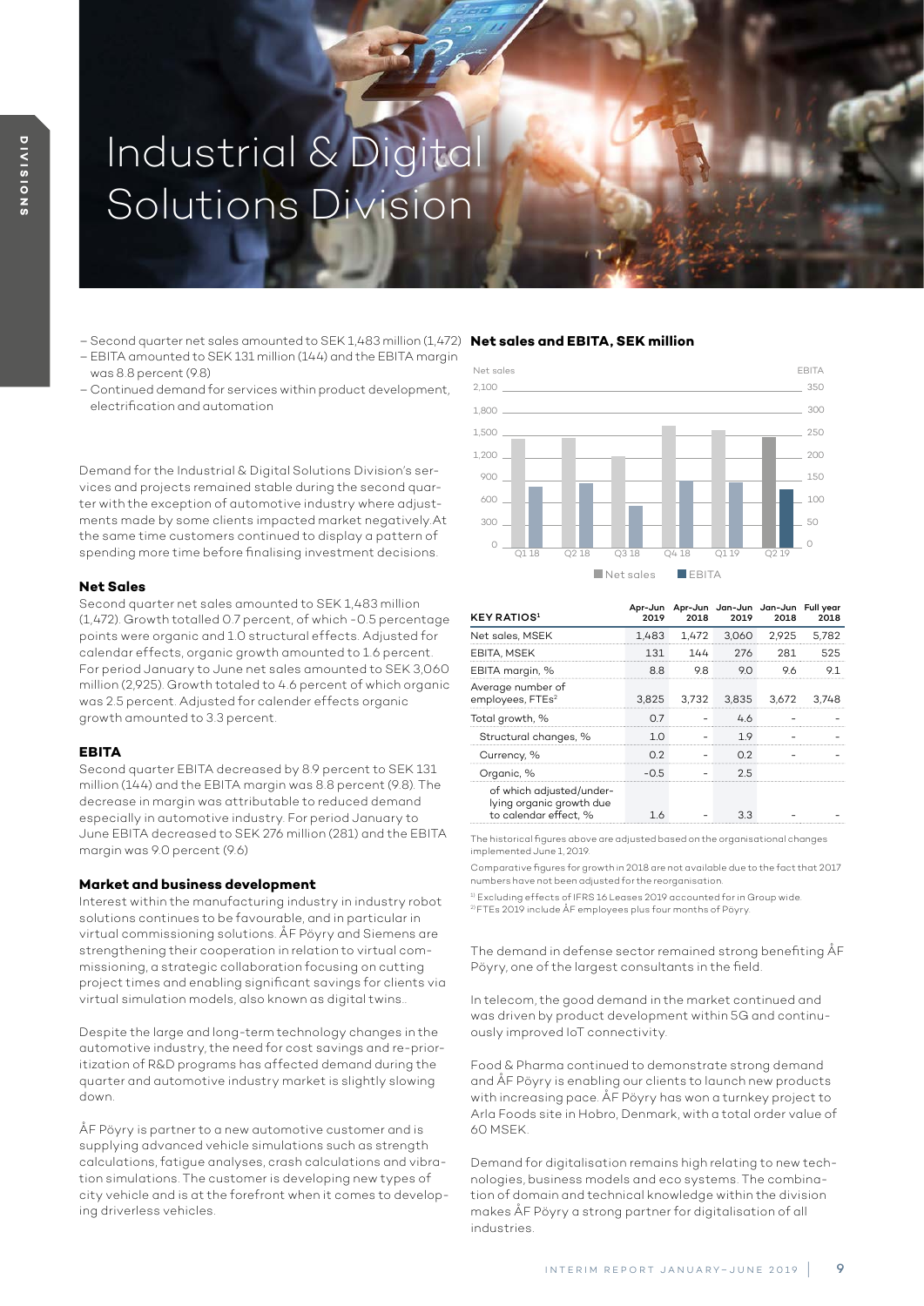# Industrial & Digital Solutions Division

- Second quarter net sales amounted to SEK 1,483 million (1,472) **Net sales and EBITA, SEK million**
- EBITA amounted to SEK 131 million (144) and the EBITA margin was 8.8 percent (9.8)
- Continued demand for services within product development, electrification and automation

Demand for the Industrial & Digital Solutions Division's services and projects remained stable during the second quarter with the exception of automotive industry where adjustments made by some clients impacted market negatively.At the same time customers continued to display a pattern of spending more time before finalising investment decisions.

#### **Net Sales**

Second quarter net sales amounted to SEK 1,483 million (1,472). Growth totalled 0.7 percent, of which -0.5 percentage points were organic and 1.0 structural effects. Adjusted for calendar effects, organic growth amounted to 1.6 percent. For period January to June net sales amounted to SEK 3,060 million (2,925). Growth totaled to 4.6 percent of which organic was 2.5 percent. Adjusted for calender effects organic growth amounted to 3.3 percent.

#### **EBITA**

Second quarter EBITA decreased by 8.9 percent to SEK 131 million (144) and the EBITA margin was 8.8 percent (9.8). The decrease in margin was attributable to reduced demand especially in automotive industry. For period January to June EBITA decreased to SEK 276 million (281) and the EBITA margin was 9.0 percent (9.6)

#### **Market and business development**

Interest within the manufacturing industry in industry robot solutions continues to be favourable, and in particular in virtual commissioning solutions. ÅF Pöyry and Siemens are strengthening their cooperation in relation to virtual commissioning, a strategic collaboration focusing on cutting project times and enabling significant savings for clients via virtual simulation models, also known as digital twins..

Despite the large and long-term technology changes in the automotive industry, the need for cost savings and re-prioritization of R&D programs has affected demand during the quarter and automotive industry market is slightly slowing down.

ÅF Pöyry is partner to a new automotive customer and is supplying advanced vehicle simulations such as strength calculations, fatigue analyses, crash calculations and vibration simulations. The customer is developing new types of city vehicle and is at the forefront when it comes to developing driverless vehicles.



| <b>KEY RATIOS</b> <sup>1</sup>                                                | 2019   | 2018              | 2019 | Apr-Jun Apr-Jun Jan-Jun Jan-Jun Full year<br>2018 | 2018    |
|-------------------------------------------------------------------------------|--------|-------------------|------|---------------------------------------------------|---------|
| Net sales, MSEK                                                               |        | 1,483 1,472 3,060 |      | 2,925                                             | 5.782   |
| EBITA, MSEK                                                                   | 131    | 144               | 276  | 281                                               | 525     |
| EBITA margin, %                                                               | 88     | 98                | 90   |                                                   |         |
| Average number of<br>employees, FTEs <sup>2</sup>                             |        |                   |      | 3,825 3,732 3,835 3,672                           | - 3.748 |
| Total growth, %                                                               | O 7    |                   | 46   |                                                   |         |
| Structural changes, %                                                         | 1 ∩    |                   | 1 Q  |                                                   |         |
| Currency, %                                                                   | በ ን    |                   |      |                                                   |         |
| Organic, %                                                                    | $-0.5$ |                   | 2.5  |                                                   |         |
| of which adjusted/under-<br>lying organic growth due<br>to calendar effect. % |        |                   |      |                                                   |         |

The historical figures above are adjusted based on the organisational changes implemented June 1, 2019.

Comparative figures for growth in 2018 are not available due to the fact that 2017 numbers have not been adjusted for the reorganisation.

<sup>1)</sup> Excluding effects of IFRS 16 Leases 2019 accounted for in Group wide. 2) FTEs 2019 include ÅF employees plus four months of Pöyry.

The demand in defense sector remained strong benefiting ÅF Pöyry, one of the largest consultants in the field.

In telecom, the good demand in the market continued and was driven by product development within 5G and continuously improved IoT connectivity.

Food & Pharma continued to demonstrate strong demand and ÅF Pöyry is enabling our clients to launch new products with increasing pace. ÅF Pöyry has won a turnkey project to Arla Foods site in Hobro, Denmark, with a total order value of 60 MSEK.

Demand for digitalisation remains high relating to new technologies, business models and eco systems. The combination of domain and technical knowledge within the division makes ÅF Pöyry a strong partner for digitalisation of all industries.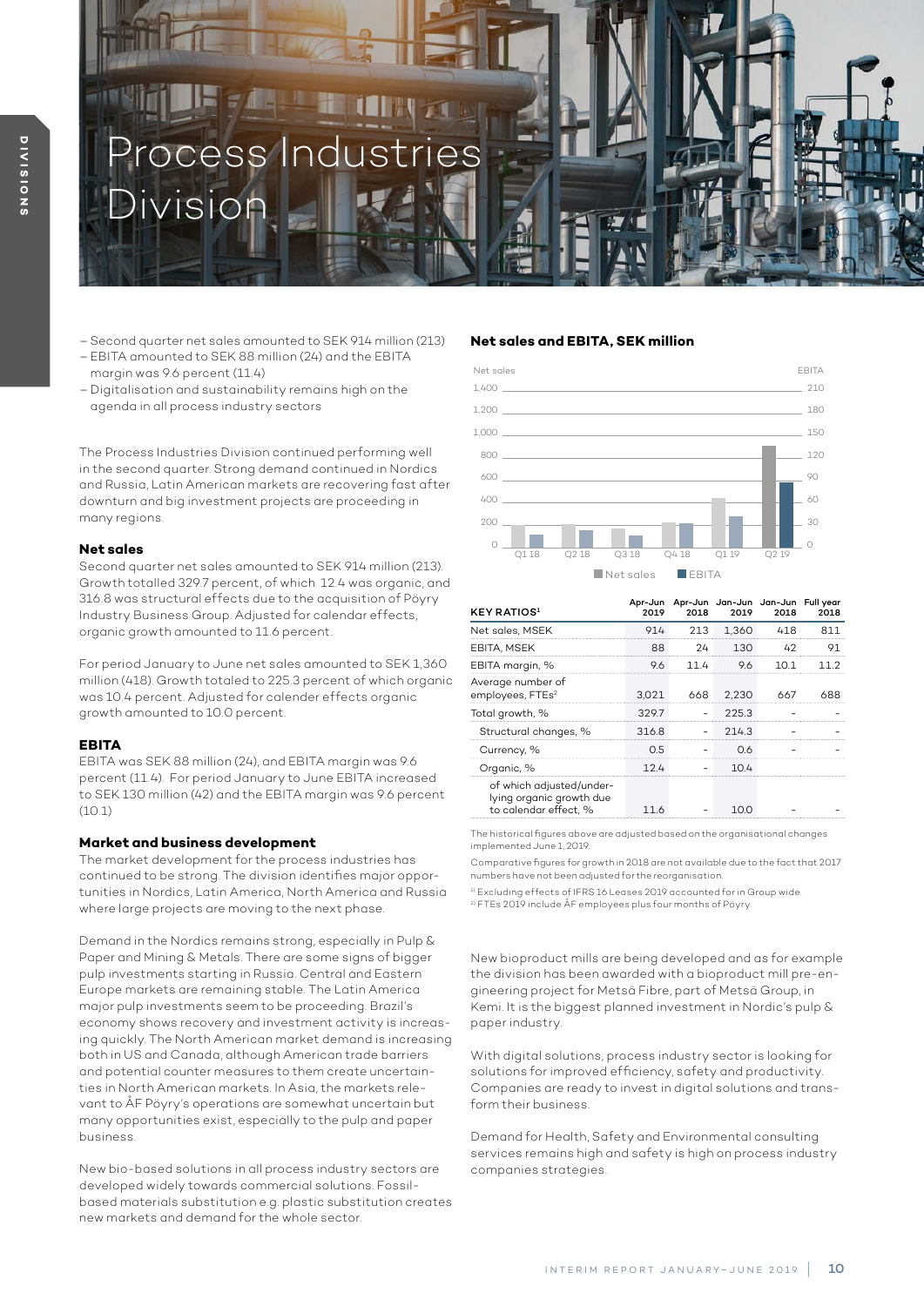

- Second quarter net sales amounted to SEK 914 million (213)
- EBITA amounted to SEK 88 million (24) and the EBITA margin was 9.6 percent (11.4)
- Digitalisation and sustainability remains high on the agenda in all process industry sectors

The Process Industries Division continued performing well in the second quarter. Strong demand continued in Nordics and Russia, Latin American markets are recovering fast after downturn and big investment projects are proceeding in many regions.

#### **Net sales**

Second quarter net sales amounted to SEK 914 million (213). Growth totalled 329.7 percent, of which 12.4 was organic, and 316.8 was structural effects due to the acquisition of Pöyry Industry Business Group. Adjusted for calendar effects, organic growth amounted to 11.6 percent.

For period January to June net sales amounted to SEK 1,360 million (418). Growth totaled to 225.3 percent of which organic was 10.4 percent. Adjusted for calender effects organic growth amounted to 10.0 percent.

#### **EBITA**

EBITA was SEK 88 million (24), and EBITA margin was 9.6 percent (11.4). For period January to June EBITA increased to SEK 130 million (42) and the EBITA margin was 9.6 percent (10.1)

#### **Market and business development**

The market development for the process industries has continued to be strong. The division identifies major opportunities in Nordics, Latin America, North America and Russia where large projects are moving to the next phase.

Demand in the Nordics remains strong, especially in Pulp & Paper and Mining & Metals. There are some signs of bigger pulp investments starting in Russia. Central and Eastern Europe markets are remaining stable. The Latin America major pulp investments seem to be proceeding. Brazil's economy shows recovery and investment activity is increasing quickly. The North American market demand is increasing both in US and Canada, although American trade barriers and potential counter measures to them create uncertainties in North American markets. In Asia, the markets relevant to ÅF Pöyry's operations are somewhat uncertain but many opportunities exist, especially to the pulp and paper business.

New bio-based solutions in all process industry sectors are developed widely towards commercial solutions. Fossilbased materials substitution e.g. plastic substitution creates new markets and demand for the whole sector.

#### **Net sales and EBITA, SEK million**



| <b>KEY RATIOS1</b>                                                            | 2019  | 2018 | 2019   | Apr-Jun Apr-Jun Jan-Jun Jan-Jun Fullyear<br>2018 | 2018 |
|-------------------------------------------------------------------------------|-------|------|--------|--------------------------------------------------|------|
| Net sales, MSEK                                                               | 914   | 213  | 1.360  | 418                                              |      |
| EBITA, MSEK                                                                   | 88    | 24   | 1 ว ก  |                                                  |      |
| EBITA margin, %                                                               | 96    | 11 4 | Q<br>6 |                                                  |      |
| Average number of<br>employees, FTEs <sup>2</sup>                             | 3.021 | 668  | 2.230  |                                                  |      |
| Total growth, %                                                               | 3297  |      | 225.3  |                                                  |      |
| Structural changes, %                                                         | 3168  |      | 2143   |                                                  |      |
| Currency, %                                                                   | 0.5   |      |        |                                                  |      |
| Organic, %                                                                    | 124   |      | 104    |                                                  |      |
| of which adjusted/under-<br>lying organic growth due<br>to calendar effect. % |       |      | 10 O   |                                                  |      |

The historical figures above are adjusted based on the organisational changes implemented June 1, 2019.

Comparative figures for growth in 2018 are not available due to the fact that 2017 numbers have not been adjusted for the reorganisation.

<sup>1)</sup> Excluding effects of IFRS 16 Leases 2019 accounted for in Group wide. 2) FTEs 2019 include ÅF employees plus four months of Pöyry.

New bioproduct mills are being developed and as for example the division has been awarded with a bioproduct mill pre-engineering project for Metsä Fibre, part of Metsä Group, in Kemi. It is the biggest planned investment in Nordic's pulp & paper industry.

With digital solutions, process industry sector is looking for solutions for improved efficiency, safety and productivity. Companies are ready to invest in digital solutions and transform their business.

Demand for Health, Safety and Environmental consulting services remains high and safety is high on process industry companies strategies.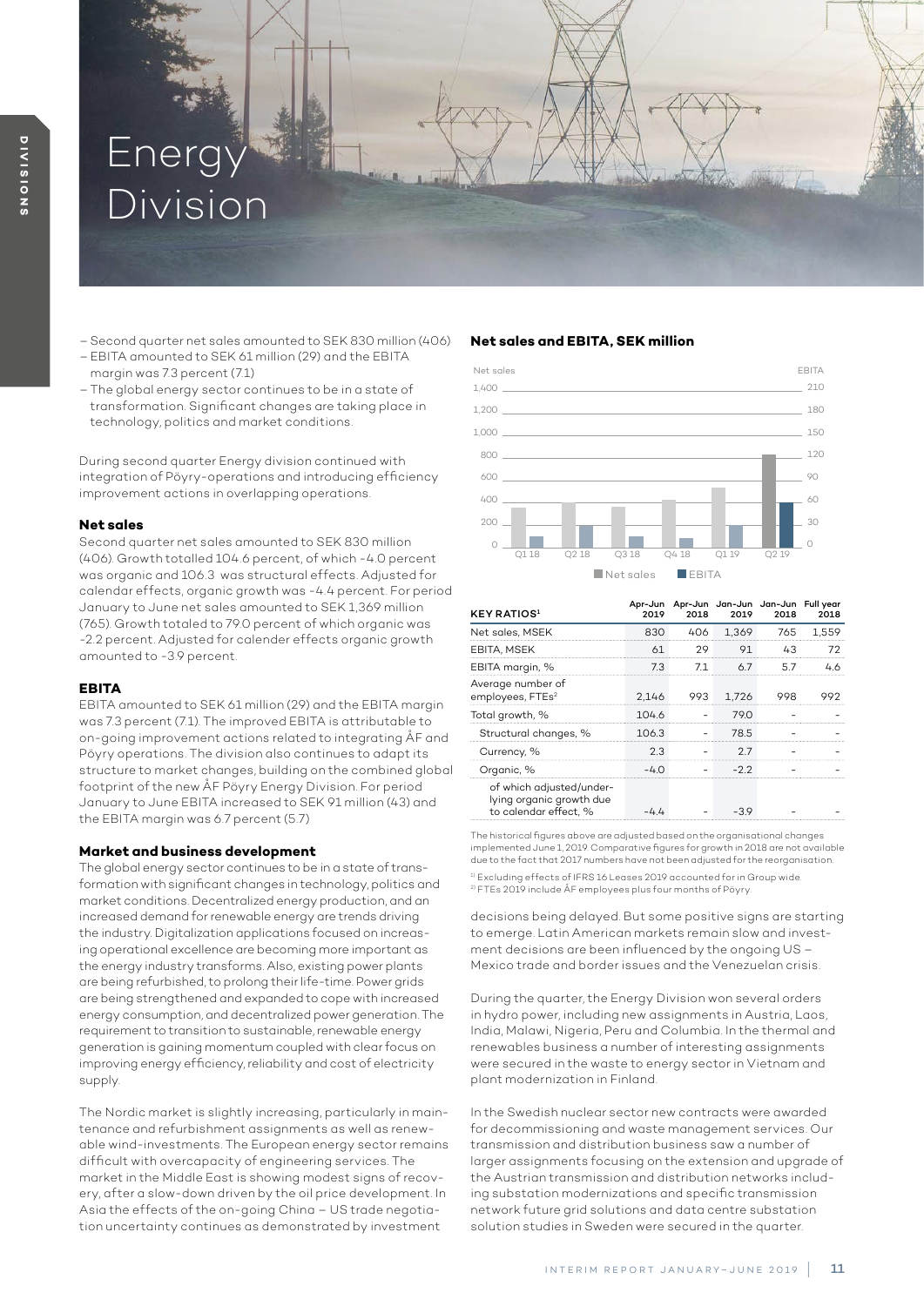# Energ Division

- Second quarter net sales amounted to SEK 830 million (406)
- EBITA amounted to SEK 61 million (29) and the EBITA margin was 7.3 percent (7.1)
- The global energy sector continues to be in a state of transformation. Significant changes are taking place in technology, politics and market conditions.

During second quarter Energy division continued with integration of Pöyry-operations and introducing efficiency improvement actions in overlapping operations.

#### **Net sales**

Second quarter net sales amounted to SEK 830 million (406). Growth totalled 104.6 percent, of which -4.0 percent was organic and 106.3 was structural effects. Adjusted for calendar effects, organic growth was -4.4 percent. For period January to June net sales amounted to SEK 1,369 million (765). Growth totaled to 79.0 percent of which organic was -2.2 percent. Adjusted for calender effects organic growth amounted to -3.9 percent.

### **EBITA**

EBITA amounted to SEK 61 million (29) and the EBITA margin was 7.3 percent (7.1). The improved EBITA is attributable to on-going improvement actions related to integrating ÅF and Pöyry operations. The division also continues to adapt its structure to market changes, building on the combined global footprint of the new ÅF Pöyry Energy Division. For period January to June EBITA increased to SEK 91 million (43) and the EBITA margin was 6.7 percent (5.7)

### **Market and business development**

The global energy sector continues to be in a state of transformation with significant changes in technology, politics and market conditions. Decentralized energy production, and an increased demand for renewable energy are trends driving the industry. Digitalization applications focused on increasing operational excellence are becoming more important as the energy industry transforms. Also, existing power plants are being refurbished, to prolong their life-time. Power grids are being strengthened and expanded to cope with increased energy consumption, and decentralized power generation. The requirement to transition to sustainable, renewable energy generation is gaining momentum coupled with clear focus on improving energy efficiency, reliability and cost of electricity supply.

The Nordic market is slightly increasing, particularly in maintenance and refurbishment assignments as well as renewable wind-investments. The European energy sector remains difficult with overcapacity of engineering services. The market in the Middle East is showing modest signs of recovery, after a slow-down driven by the oil price development. In Asia the effects of the on-going China – US trade negotiation uncertainty continues as demonstrated by investment

### **Net sales and EBITA, SEK million**



| <b>KEY RATIOS</b> <sup>1</sup>                                                | 2019  | 2018 | Apr-Jun Apr-Jun Jan-Jun Jan-Jun Fullyear<br>2019 | 2018      | 2018  |
|-------------------------------------------------------------------------------|-------|------|--------------------------------------------------|-----------|-------|
| Net sales, MSEK                                                               | 830   | 406  |                                                  | 1.369 765 | 1.559 |
| EBITA, MSEK                                                                   | 61    | つつ   | 91                                               | 43        |       |
| EBITA margin, %                                                               | 73    | 71   | $\wedge$ /                                       |           |       |
| Average number of<br>employees, FTEs <sup>2</sup>                             | 2.146 |      | 993 1.726                                        |           |       |
| Total growth, %                                                               | 1046  |      | 79 O                                             |           |       |
| Structural changes, %                                                         | 106.3 |      | 78.5                                             |           |       |
| Currency, %                                                                   | 2.3   |      | 27                                               |           |       |
| Organic, %                                                                    | $-40$ |      | -22                                              |           |       |
| of which adjusted/under-<br>lying organic growth due<br>to calendar effect. % |       |      |                                                  |           |       |

The historical figures above are adjusted based on the organisational changes implemented June 1, 2019. Comparative figures for growth in 2018 are not available due to the fact that 2017 numbers have not been adjusted for the reorganisation. 1) Excluding effects of IFRS 16 Leases 2019 accounted for in Group wide. 2) FTEs 2019 include ÅF employees plus four months of Pöyry.

decisions being delayed. But some positive signs are starting to emerge. Latin American markets remain slow and investment decisions are been influenced by the ongoing US – Mexico trade and border issues and the Venezuelan crisis.

During the quarter, the Energy Division won several orders in hydro power, including new assignments in Austria, Laos, India, Malawi, Nigeria, Peru and Columbia. In the thermal and renewables business a number of interesting assignments were secured in the waste to energy sector in Vietnam and plant modernization in Finland.

In the Swedish nuclear sector new contracts were awarded for decommissioning and waste management services. Our transmission and distribution business saw a number of larger assignments focusing on the extension and upgrade of the Austrian transmission and distribution networks including substation modernizations and specific transmission network future grid solutions and data centre substation solution studies in Sweden were secured in the quarter.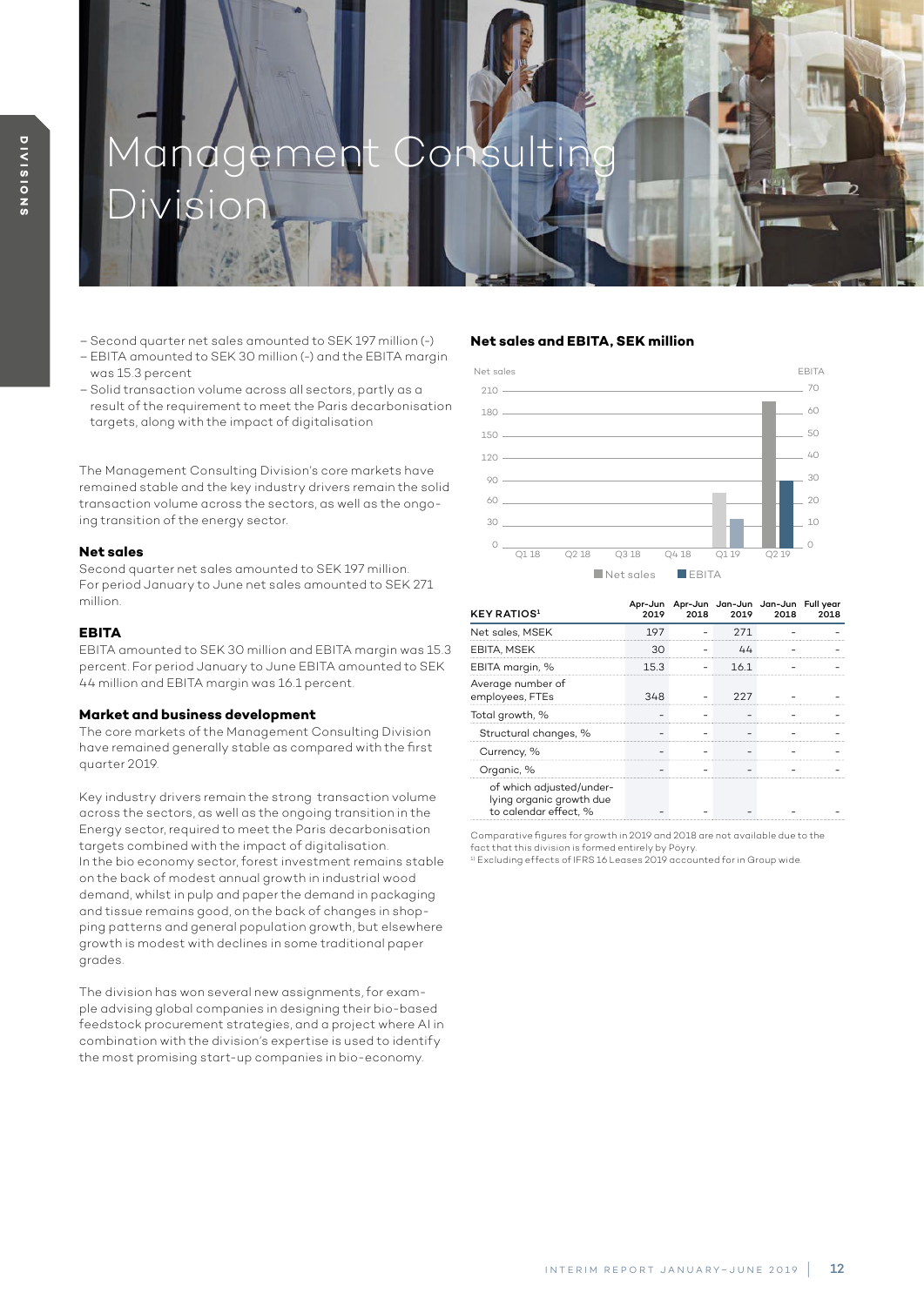# agement Consu

– Second quarter net sales amounted to SEK 197 million (-)

Division

- EBITA amounted to SEK 30 million (-) and the EBITA margin was 15.3 percent
- Solid transaction volume across all sectors, partly as a result of the requirement to meet the Paris decarbonisation targets, along with the impact of digitalisation

The Management Consulting Division's core markets have remained stable and the key industry drivers remain the solid transaction volume across the sectors, as well as the ongoing transition of the energy sector.

#### **Net sales**

Second quarter net sales amounted to SEK 197 million. For period January to June net sales amounted to SEK 271 million.

### **EBITA**

EBITA amounted to SEK 30 million and EBITA margin was 15.3 percent. For period January to June EBITA amounted to SEK 44 million and EBITA margin was 16.1 percent.

#### **Market and business development**

The core markets of the Management Consulting Division have remained generally stable as compared with the first quarter 2019.

Key industry drivers remain the strong transaction volume across the sectors, as well as the ongoing transition in the Energy sector, required to meet the Paris decarbonisation targets combined with the impact of digitalisation. In the bio economy sector, forest investment remains stable on the back of modest annual growth in industrial wood demand, whilst in pulp and paper the demand in packaging and tissue remains good, on the back of changes in shopping patterns and general population growth, but elsewhere growth is modest with declines in some traditional paper grades.

The division has won several new assignments, for example advising global companies in designing their bio-based feedstock procurement strategies, and a project where AI in combination with the division's expertise is used to identify the most promising start-up companies in bio-economy.

#### **Net sales and EBITA, SEK million**



| <b>KEY RATIOS</b> <sup>1</sup>                                                | 2019 | 2018 | Apr-Jun Apr-Jun Jan-Jun Jan-Jun Fullyear<br>2019 | 2018 | 2018 |
|-------------------------------------------------------------------------------|------|------|--------------------------------------------------|------|------|
| Net sales, MSEK                                                               | 197  |      |                                                  |      |      |
| <b>EBITA, MSEK</b>                                                            |      |      |                                                  |      |      |
| EBITA margin, %                                                               | 15.3 |      | 16.1                                             |      |      |
| Average number of<br>employees, FTEs                                          | 37.R |      |                                                  |      |      |
| Total growth, %                                                               |      |      |                                                  |      |      |
| Structural changes, %                                                         |      |      |                                                  |      |      |
| Currency, %                                                                   |      |      |                                                  |      |      |
| Organic, %                                                                    |      |      |                                                  |      |      |
| of which adjusted/under-<br>lying organic growth due<br>to calendar effect. % |      |      |                                                  |      |      |

Comparative figures for growth in 2019 and 2018 are not available due to the

fact that this division is formed entirely by Pöyry.<br><sup>1)</sup> Excluding effects of IFRS 16 Leases 2019 accounted for in Group wide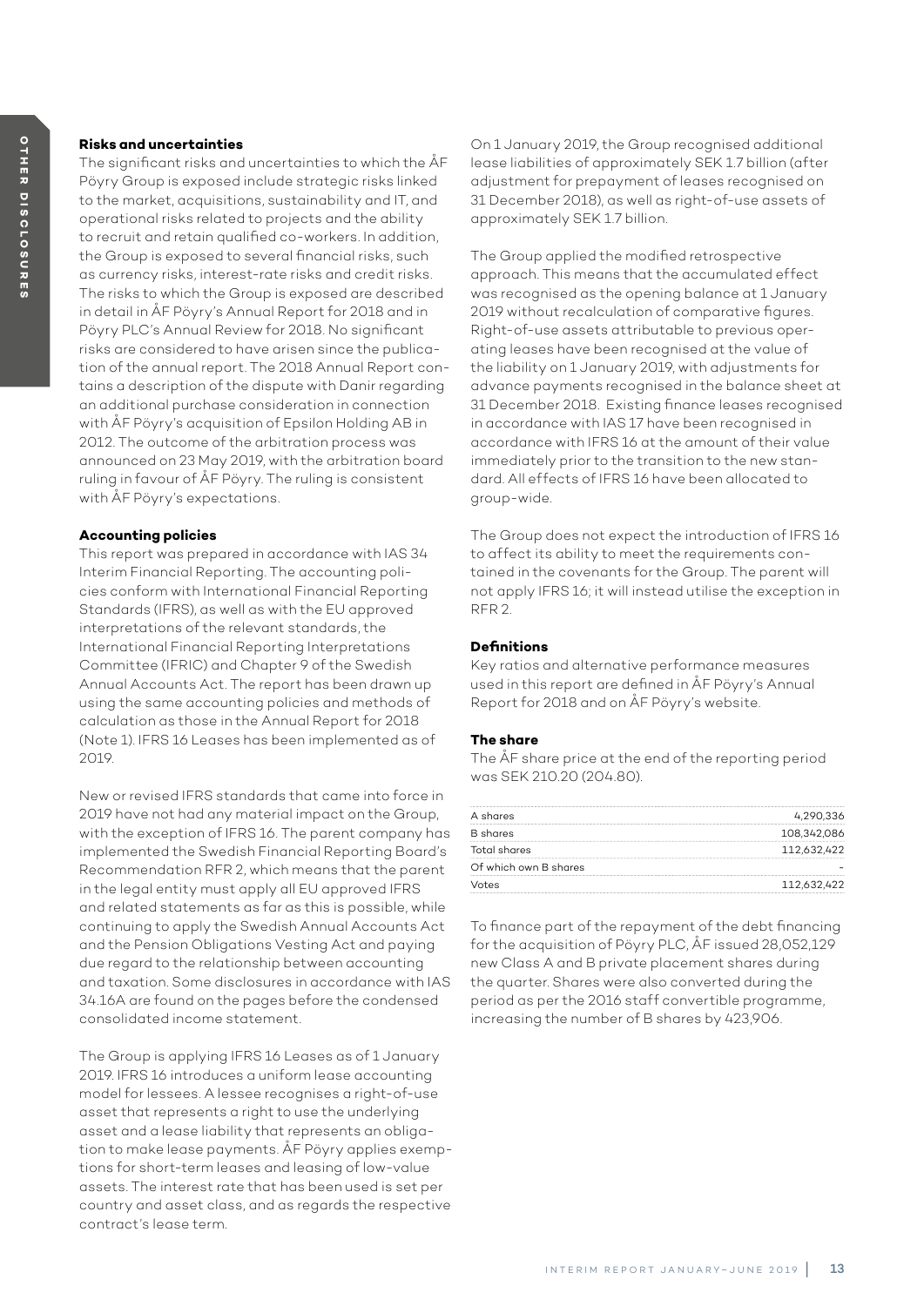# **Risks and uncertainties**

The significant risks and uncertainties to which the ÅF Pöyry Group is exposed include strategic risks linked to the market, acquisitions, sustainability and IT, and operational risks related to projects and the ability to recruit and retain qualified co-workers. In addition, the Group is exposed to several financial risks, such as currency risks, interest-rate risks and credit risks. The risks to which the Group is exposed are described in detail in ÅF Pöyry's Annual Report for 2018 and in Pöyry PLC's Annual Review for 2018. No significant risks are considered to have arisen since the publication of the annual report. The 2018 Annual Report contains a description of the dispute with Danir regarding an additional purchase consideration in connection with ÅF Pöyry's acquisition of Epsilon Holding AB in 2012. The outcome of the arbitration process was announced on 23 May 2019, with the arbitration board ruling in favour of ÅF Pöyry. The ruling is consistent with ÅF Pöyry's expectations.

### **Accounting policies**

This report was prepared in accordance with IAS 34 Interim Financial Reporting. The accounting policies conform with International Financial Reporting Standards (IFRS), as well as with the EU approved interpretations of the relevant standards, the International Financial Reporting Interpretations Committee (IFRIC) and Chapter 9 of the Swedish Annual Accounts Act. The report has been drawn up using the same accounting policies and methods of calculation as those in the Annual Report for 2018 (Note 1). IFRS 16 Leases has been implemented as of 2019.

New or revised IFRS standards that came into force in 2019 have not had any material impact on the Group, with the exception of IFRS 16. The parent company has implemented the Swedish Financial Reporting Board's Recommendation RFR 2, which means that the parent in the legal entity must apply all EU approved IFRS and related statements as far as this is possible, while continuing to apply the Swedish Annual Accounts Act and the Pension Obligations Vesting Act and paying due regard to the relationship between accounting and taxation. Some disclosures in accordance with IAS 34.16A are found on the pages before the condensed consolidated income statement.

The Group is applying IFRS 16 Leases as of 1 January 2019. IFRS 16 introduces a uniform lease accounting model for lessees. A lessee recognises a right-of-use asset that represents a right to use the underlying asset and a lease liability that represents an obligation to make lease payments. ÅF Pöyry applies exemptions for short-term leases and leasing of low-value assets. The interest rate that has been used is set per country and asset class, and as regards the respective contract's lease term.

On 1 January 2019, the Group recognised additional lease liabilities of approximately SEK 1.7 billion (after adjustment for prepayment of leases recognised on 31 December 2018), as well as right-of-use assets of approximately SEK 1.7 billion.

The Group applied the modified retrospective approach. This means that the accumulated effect was recognised as the opening balance at 1 January 2019 without recalculation of comparative figures. Right-of-use assets attributable to previous operating leases have been recognised at the value of the liability on 1 January 2019, with adjustments for advance payments recognised in the balance sheet at 31 December 2018. Existing finance leases recognised in accordance with IAS 17 have been recognised in accordance with IFRS 16 at the amount of their value immediately prior to the transition to the new standard. All effects of IFRS 16 have been allocated to group-wide.

The Group does not expect the introduction of IFRS 16 to affect its ability to meet the requirements contained in the covenants for the Group. The parent will not apply IFRS 16; it will instead utilise the exception in RFR 2.

### **Definitions**

Key ratios and alternative performance measures used in this report are defined in ÅF Pöyry's Annual Report for 2018 and on ÅF Pöyry's website.

### **The share**

The ÅF share price at the end of the reporting period was SEK 210.20 (204.80).

| A shares              | 4,290,336                                         |
|-----------------------|---------------------------------------------------|
| <b>B</b> shares       | 108,342,086<br>---------------------------------- |
| Total shares          | 112,632,422                                       |
| Of which own B shares |                                                   |
| Votes                 | 112,632,422                                       |

To finance part of the repayment of the debt financing for the acquisition of Pöyry PLC, ÅF issued 28,052,129 new Class A and B private placement shares during the quarter. Shares were also converted during the period as per the 2016 staff convertible programme, increasing the number of B shares by 423,906.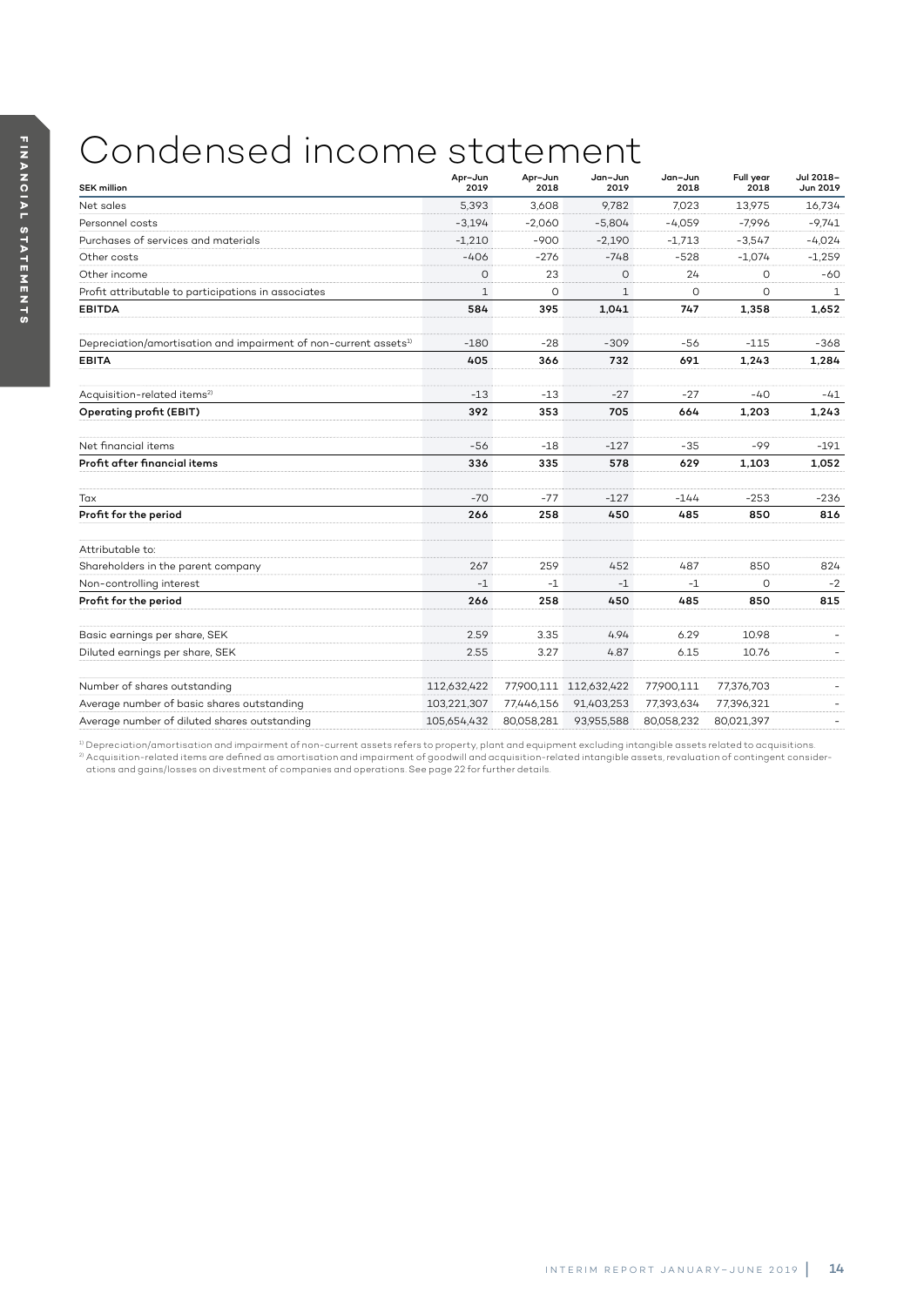# Condensed income statement

| <b>SEK million</b>                                                           | Apr-Jun<br>2019 | Apr-Jun<br>2018 | Jan-Jun<br>2019        | Jan-Jun<br>2018 | Full year<br>2018 | Jul 2018-<br>Jun 2019 |
|------------------------------------------------------------------------------|-----------------|-----------------|------------------------|-----------------|-------------------|-----------------------|
| Net sales                                                                    | 5.393           | 3.608           | 9.782                  | 7.023           | 13,975            | 16,734                |
| Personnel costs                                                              | $-3.194$        | $-2,060$        | $-5,804$               | $-4.059$        | $-7,996$          | $-9,741$              |
| Purchases of services and materials                                          | $-1,210$        | -900            | $-2,190$               | $-1,713$        | $-3.547$          | $-4.024$              |
| Other costs                                                                  | $-406$          | $-276$          | $-748$                 | $-528$          | $-1.074$          | $-1,259$              |
| Other income                                                                 | $\circ$         | 23              | $\circ$                | 24              | 0                 | -60                   |
| Profit attributable to participations in associates                          | $\mathbf{1}$    | $\circ$         | $\mathbf{1}$           | $\circ$         | 0                 | 1                     |
| <b>EBITDA</b>                                                                | 584             | 395             | 1,041                  | 747             | 1,358             | 1,652                 |
| Depreciation/amortisation and impairment of non-current assets <sup>1)</sup> | $-180$          | $-28$           | $-309$                 | -56             | $-115$            | $-368$                |
| <b>EBITA</b>                                                                 | 405             | 366             | 732                    | 691             | 1,243             | 1,284                 |
| Acquisition-related items <sup>2)</sup>                                      | $-13$           | $-13$           | $-27$                  | $-27$           | $-40$             | -41                   |
| Operating profit (EBIT)                                                      | 392             | 353             | 705                    | 664             | 1,203             | 1,243                 |
| Net financial items                                                          | $-56$           | $-18$           | $-127$                 | $-35$           | $-99$             | $-191$                |
| Profit after financial items                                                 | 336             | 335             | 578                    | 629             | 1,103             | 1,052                 |
| Tax                                                                          | $-70$           | $-77$           | $-127$                 | $-144$          | $-253$            | $-236$                |
| Profit for the period                                                        | 266             | 258             | 450                    | 485             | 850               | 816                   |
| Attributable to:                                                             |                 |                 |                        |                 |                   |                       |
| Shareholders in the parent company                                           | 267             | 259             | 452                    | 487             | 850               | 824                   |
| Non-controlling interest                                                     | $-1$            | -1              | $-1$                   | $-1$            | $\circ$           | $-2$                  |
| Profit for the period                                                        | 266             | 258             | 450                    | 485             | 850               | 815                   |
| Basic earnings per share, SEK                                                | 2.59            | 3.35            | 4.94                   | 6.29            | 10.98             |                       |
| Diluted earnings per share, SEK                                              | 2.55            | 3.27            | 4.87                   | 6.15            | 10.76             |                       |
| Number of shares outstanding                                                 | 112,632,422     |                 | 77,900,111 112,632,422 | 77,900,111      | 77,376,703        |                       |
| Average number of basic shares outstanding                                   | 103,221,307     | 77,446,156      | 91,403,253             | 77,393,634      | 77,396,321        |                       |
| Average number of diluted shares outstanding                                 | 105,654,432     | 80,058,281      | 93,955,588             | 80,058,232      | 80,021,397        |                       |

1) Depreciation/amortisation and impairment of non-current assets refers to property, plant and equipment excluding intangible assets related to acquisitions.  $^{\rm 2}$  Acquisition-related items are defined as amortisation and impairment of goodwill and acquisition-related intangible assets, revaluation of contingent considerations and gains/losses on divestment of companies and operations. See page 22 for further details.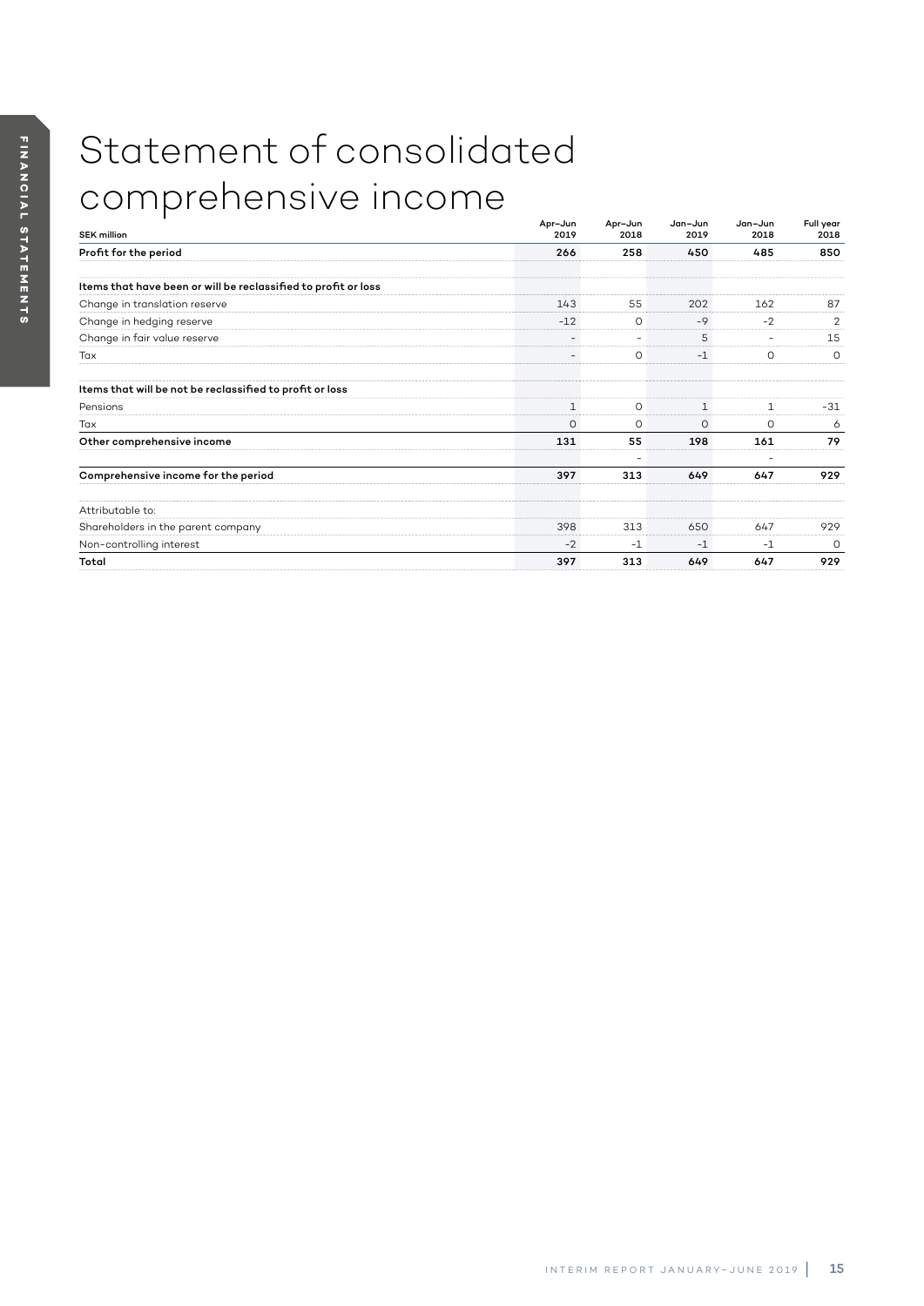# Statement of consolidated comprehensive income

| <b>SEK million</b>                                             | Apr-Jun<br>2019          | Apr-Jun<br>2018 | Jan-Jun<br>2019 | Jan-Jun<br>2018          | Full year<br>2018 |
|----------------------------------------------------------------|--------------------------|-----------------|-----------------|--------------------------|-------------------|
| Profit for the period                                          | 266                      | 258             | 450             | 485                      | 850               |
| Items that have been or will be reclassified to profit or loss |                          |                 |                 |                          |                   |
| Change in translation reserve                                  | 143                      | 55              | 202             | 162                      | 87                |
| Change in hedging reserve                                      | $-12$                    | $\circ$         | $-9$            | $-2$                     | 2                 |
| Change in fair value reserve                                   | $\overline{\phantom{a}}$ | ٠               | 5               | $\overline{\phantom{a}}$ | 15                |
| Tax                                                            | $\overline{\phantom{a}}$ | O               | $-1$            | 0                        | $\circ$           |
| Items that will be not be reclassified to profit or loss       |                          |                 |                 |                          |                   |
| Pensions                                                       | $\mathbf{1}$             | $\circ$         | $\mathbf{1}$    | $\mathbf{1}$             | $-31$             |
| Tax                                                            | 0                        | $\circ$         | $\circ$         | $\circ$                  | 6                 |
| Other comprehensive income                                     | 131                      | 55              | 198             | 161                      | 79                |
| Comprehensive income for the period                            | 397                      | 313             | 649             | ٠<br>647                 | 929               |
|                                                                |                          |                 |                 |                          |                   |
| Attributable to:                                               |                          |                 |                 |                          |                   |
| Shareholders in the parent company                             | 398                      | 313             | 650             | 647                      | 929               |
| Non-controlling interest                                       | $-2$                     | $-1$            | $-1$            | $-1$                     | $\Omega$          |
| Total                                                          | 397                      | 313             | 649             | 647                      | 929               |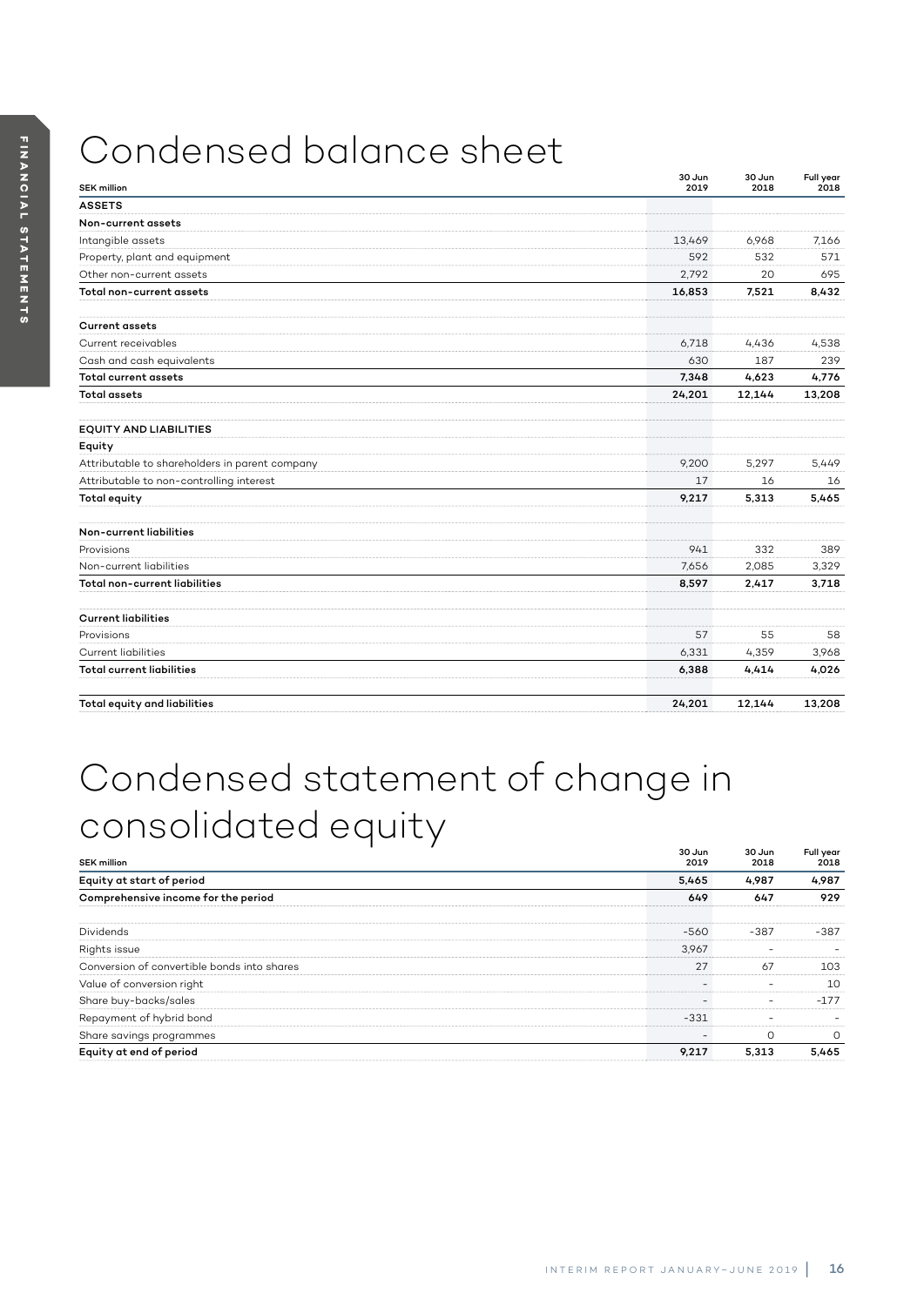# Condensed balance sheet

| <b>SEK million</b>                             | 30 Jun<br>2019 | 30 Jun<br>2018 | Full year<br>2018 |
|------------------------------------------------|----------------|----------------|-------------------|
| <b>ASSETS</b>                                  |                |                |                   |
| Non-current assets                             |                |                |                   |
| Intangible assets                              | 13.469         | 6,968          | 7.166             |
| Property, plant and equipment                  | 592            | 532            | 571               |
| Other non-current assets                       | 2,792          | 20             | 695               |
| Total non-current assets                       | 16,853         | 7,521          | 8,432             |
| <b>Current assets</b>                          |                |                |                   |
| Current receivables                            | 6,718          | 4,436          | 4,538             |
| Cash and cash equivalents                      | 630            | 187            | 239               |
| <b>Total current assets</b>                    | 7,348          | 4,623          | 4,776             |
| <b>Total assets</b>                            | 24,201         | 12,144         | 13,208            |
| <b>EQUITY AND LIABILITIES</b>                  |                |                |                   |
| Equity                                         |                |                |                   |
| Attributable to shareholders in parent company | 9,200          | 5.297          | 5.449             |
| Attributable to non-controlling interest       | 17             | 16             | 16                |
| <b>Total equity</b>                            | 9,217          | 5,313          | 5,465             |
| Non-current liabilities                        |                |                |                   |
| Provisions                                     | 941            | 332            | 389               |
| Non-current liabilities                        | 7,656          | 2,085          | 3,329             |
| Total non-current liabilities                  | 8,597          | 2,417          | 3,718             |
| <b>Current liabilities</b>                     |                |                |                   |
| Provisions                                     | 57             | 55             | 58                |
| <b>Current liabilities</b>                     | 6,331          | 4,359          | 3,968             |
| <b>Total current liabilities</b>               | 6,388          | 4,414          | 4,026             |
| Total equity and liabilities                   | 24.201         | 12.144         | 13,208            |

# Condensed statement of change in consolidated equity

| <b>SEK million</b>                          | 30 Jun<br>2019 | 30 Jun<br>2018 | Full year<br>2018 |
|---------------------------------------------|----------------|----------------|-------------------|
| Equity at start of period                   | 5,465          | 4,987          | 4,987             |
| Comprehensive income for the period         | 649            | 647            | 929               |
| <b>Dividends</b>                            | $-560$         | $-387$         | $-387$            |
| Rights issue                                | 3,967          |                |                   |
| Conversion of convertible bonds into shares | 27             | 67             | 103               |
| Value of conversion right                   |                |                | 10                |
| Share buy-backs/sales                       |                | ۰              | $-177$            |
| Repayment of hybrid bond                    | $-331$         |                |                   |
| Share savings programmes                    |                | $\Omega$       | $\Omega$          |
| Equity at end of period                     | 9,217          | 5.313          | 5,465             |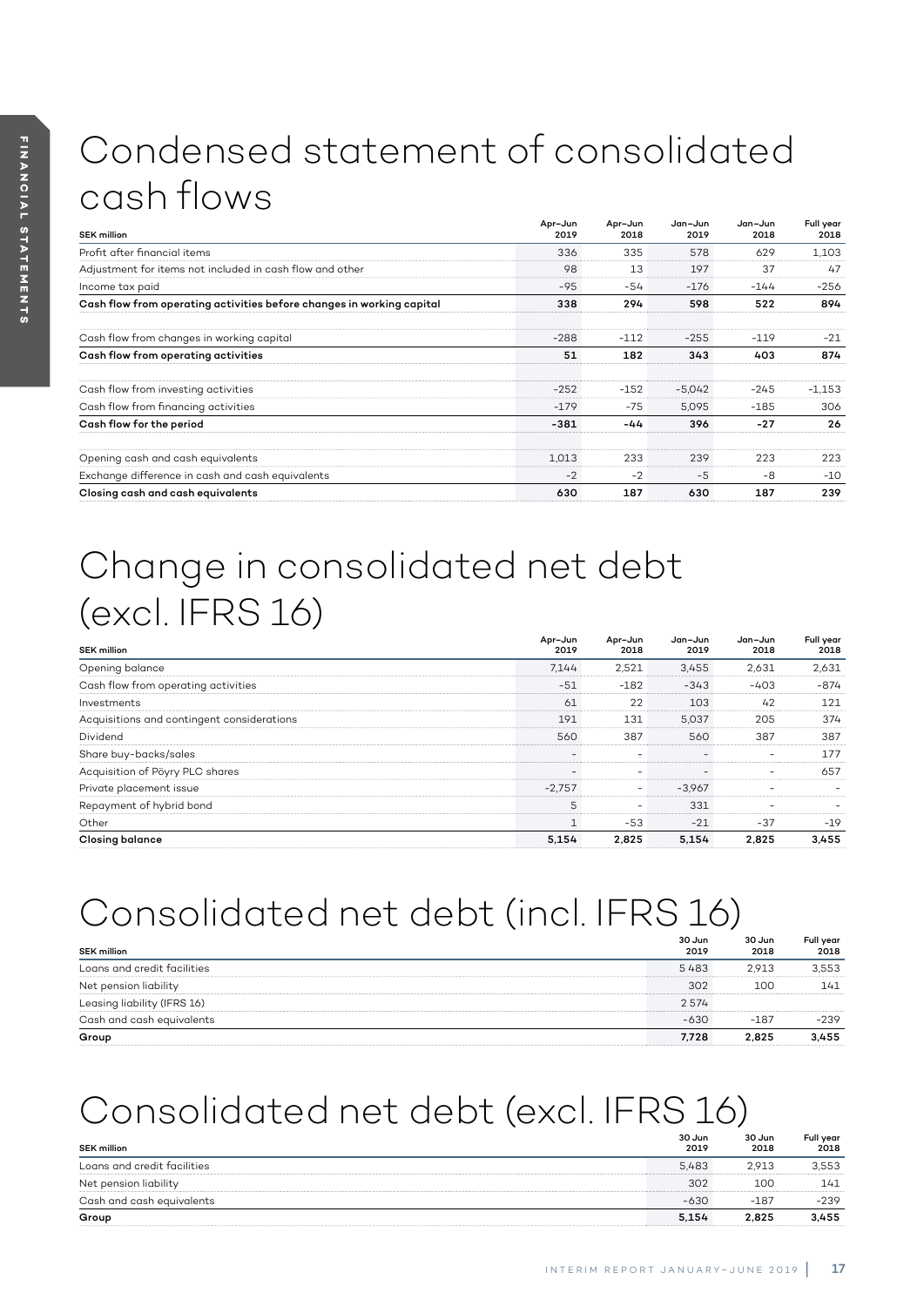# Condensed statement of consolidated cash flows

| <b>SEK million</b>                                                    | Apr-Jun<br>2019 | Apr-Jun<br>2018 | Jan-Jun<br>2019 | Jan-Jun<br>2018 | Full year<br>2018 |
|-----------------------------------------------------------------------|-----------------|-----------------|-----------------|-----------------|-------------------|
| Profit after financial items                                          | 336             | 335             | 578             | 629             | 1,103             |
| Adjustment for items not included in cash flow and other              | 98              | 13              | 197             | 37              | 47                |
| Income tax paid                                                       | $-95$           | $-54$           | $-176$          | $-144$          | $-256$            |
| Cash flow from operating activities before changes in working capital | 338             | 294             | 598             | 522             | 894               |
| Cash flow from changes in working capital                             | $-288$          | $-112$          | $-255$          | $-119$          | $-21$             |
| Cash flow from operating activities                                   | 51              | 182             | 343             | 403             | 874               |
| Cash flow from investing activities                                   | $-252$          | $-152$          | $-5.042$        | $-245$          | $-1.153$          |
| Cash flow from financing activities                                   | $-179$          | $-75$           | 5.095           | $-185$          | 306               |
| Cash flow for the period                                              | $-381$          | -44             | 396             | $-27$           | 26                |
| Opening cash and cash equivalents                                     | 1,013           | 233             | 239             | 223             | 223               |
| Exchange difference in cash and cash equivalents                      | $-2$            | $-2$            | -5              | -8              | $-10$             |
| Closing cash and cash equivalents                                     | 630             | 187             | 630             | 187             | 239               |

# Change in consolidated net debt (excl. IFRS 16)

| <b>SEK million</b>                         | Apr-Jun<br>2019          | Apr-Jun<br>2018 | Jan-Jun<br>2019 | Jan-Jun<br>2018 | Full year<br>2018 |
|--------------------------------------------|--------------------------|-----------------|-----------------|-----------------|-------------------|
| Opening balance                            | 7.144                    | 2,521           | 3,455           | 2,631           | 2,631             |
| Cash flow from operating activities        | $-51$                    | $-182$          | $-343$          | $-403$          | $-874$            |
| Investments                                | 61                       | 22              | 103             | 42              | 121               |
| Acquisitions and contingent considerations | 191                      | 131             | 5.037           | 205             | 374               |
| Dividend                                   | 560                      | 387             | 560             | 387             | 387               |
| Share buy-backs/sales                      | $\overline{\phantom{a}}$ |                 |                 |                 | 177               |
| Acquisition of Pöyry PLC shares            |                          |                 |                 | -               | 657               |
| Private placement issue                    | $-2.757$                 | -               | $-3.967$        |                 |                   |
| Repayment of hybrid bond                   | 5                        | ۰               | 331             | ۰               |                   |
| Other                                      | $\mathbf{1}$             | $-53$           | $-21$           | $-37$           | $-19$             |
| <b>Closing balance</b>                     | 5.154                    | 2.825           | 5.154           | 2.825           | 3,455             |

# Consolidated net debt (incl. IFRS 16)

| <b>SEK million</b>          | 30 Jun<br>2019 | 30 Jun<br>2018 | Full year<br>2018 |
|-----------------------------|----------------|----------------|-------------------|
| Loans and credit facilities | 5483           | 2.913          | 3.553             |
| Net pension liability       | 302            | 100            | 141               |
| Leasing liability (IFRS 16) | 2574           |                |                   |
| Cash and cash equivalents   | $-630$         | $-187$         | $-239$            |
| Group                       | 7.728          | 2.825          | 3.455             |

# Consolidated net debt (excl. IFRS 16)

| <b>SEK million</b>          | 30 Jun<br>2019 | 30 Jun<br>2018 | Full year<br>2018 |
|-----------------------------|----------------|----------------|-------------------|
| Loans and credit facilities | 5.483          | 2,913          | 3,553             |
| Net pension liability       | 302            | 100            | 141               |
| Cash and cash equivalents   | $-630$         | $-187$         | $-239$            |
| Group                       | 5.154          | 2,825          | 3,455             |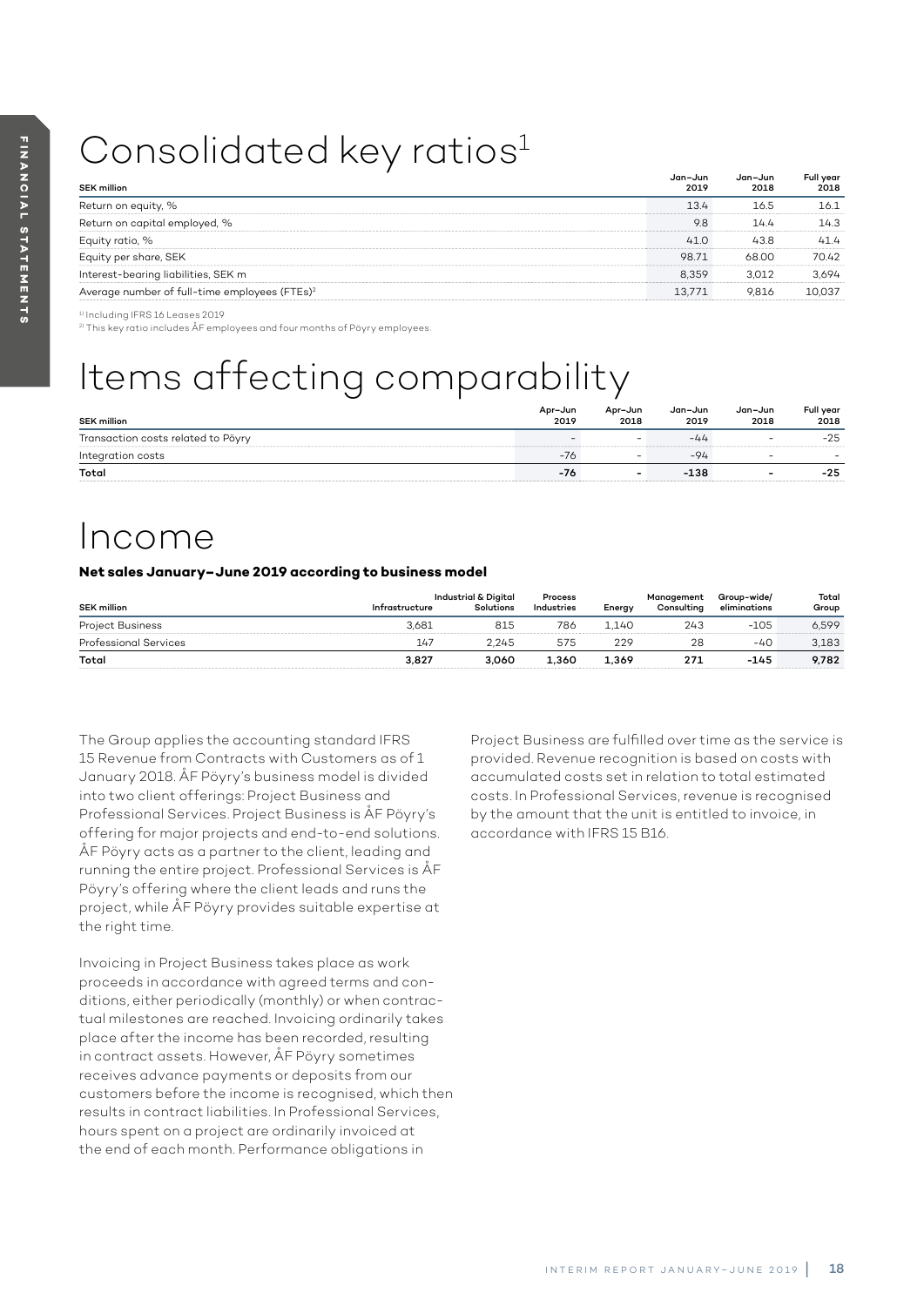# Consolidated key ratios<sup>1</sup>

| <b>SEK million</b>                                        | Jan-Jun<br>2019 | Jan-Jun<br>2018 | Full year<br>2018 |
|-----------------------------------------------------------|-----------------|-----------------|-------------------|
| Return on equity, %                                       | 13.4            | 16.5            | 16.1              |
| Return on capital employed, %                             | 9.8             | 14.4            | 14.3              |
| Equity ratio, %                                           | 41.0            | 43.8            | 41.4              |
| Equity per share, SEK                                     | 98.71           | 68.00           | 70.42             |
| Interest-bearing liabilities, SEK m                       | 8.359           | 3.012           | 3.694             |
| Average number of full-time employees (FTEs) <sup>2</sup> | 13.771          | 9.816           | 10.037            |

<sup>1)</sup> Including IFRS 16 Leases 2019

2) This key ratio includes ÅF employees and four months of Pöyry employees.

# Items affecting comparability

| <b>SEK million</b>                 | Apr-Jun<br>2019 | Apr-Jun<br>2018          | Jan-Jun<br>2019 | Jan-Jun<br>2018          | Full year<br>2018 |
|------------------------------------|-----------------|--------------------------|-----------------|--------------------------|-------------------|
| Transaction costs related to Pöyry |                 | $\sim$                   | -44             | $\overline{\phantom{0}}$ | $-25$             |
| Integration costs                  | $-16$           | -                        | $-94$           | $\overline{\phantom{0}}$ |                   |
| Total                              | -76             | $\overline{\phantom{0}}$ | $-138$          | $\overline{\phantom{a}}$ | -25               |

# Income

### **Net sales January–June 2019 according to business model**

| <b>SEK million</b>           | Infrastructure | Industrial & Digital<br>Solutions | Process<br>Industries | Energy | Management<br>Consulting | Group-wide/<br>eliminations | Total<br>Group |
|------------------------------|----------------|-----------------------------------|-----------------------|--------|--------------------------|-----------------------------|----------------|
| <b>Project Business</b>      | 3.681          | 815                               | 786                   | 1.140  | 243                      | $-105$                      | 6.599          |
| <b>Professional Services</b> | 147            | 2.245                             | 575                   | 229    | 28                       | -40                         | 3.183          |
| Total                        | 3.827          | 3.060                             | 1.360                 | 1.369  | 271                      | $-145$                      | 9.782          |

The Group applies the accounting standard IFRS 15 Revenue from Contracts with Customers as of 1 January 2018. ÅF Pöyry's business model is divided into two client offerings: Project Business and Professional Services. Project Business is ÅF Pöyry's offering for major projects and end-to-end solutions. ÅF Pöyry acts as a partner to the client, leading and running the entire project. Professional Services is ÅF Pöyry's offering where the client leads and runs the project, while ÅF Pöyry provides suitable expertise at the right time.

Invoicing in Project Business takes place as work proceeds in accordance with agreed terms and conditions, either periodically (monthly) or when contractual milestones are reached. Invoicing ordinarily takes place after the income has been recorded, resulting in contract assets. However, ÅF Pöyry sometimes receives advance payments or deposits from our customers before the income is recognised, which then results in contract liabilities. In Professional Services, hours spent on a project are ordinarily invoiced at the end of each month. Performance obligations in

Project Business are fulfilled over time as the service is provided. Revenue recognition is based on costs with accumulated costs set in relation to total estimated costs. In Professional Services, revenue is recognised by the amount that the unit is entitled to invoice, in accordance with IFRS 15 B16.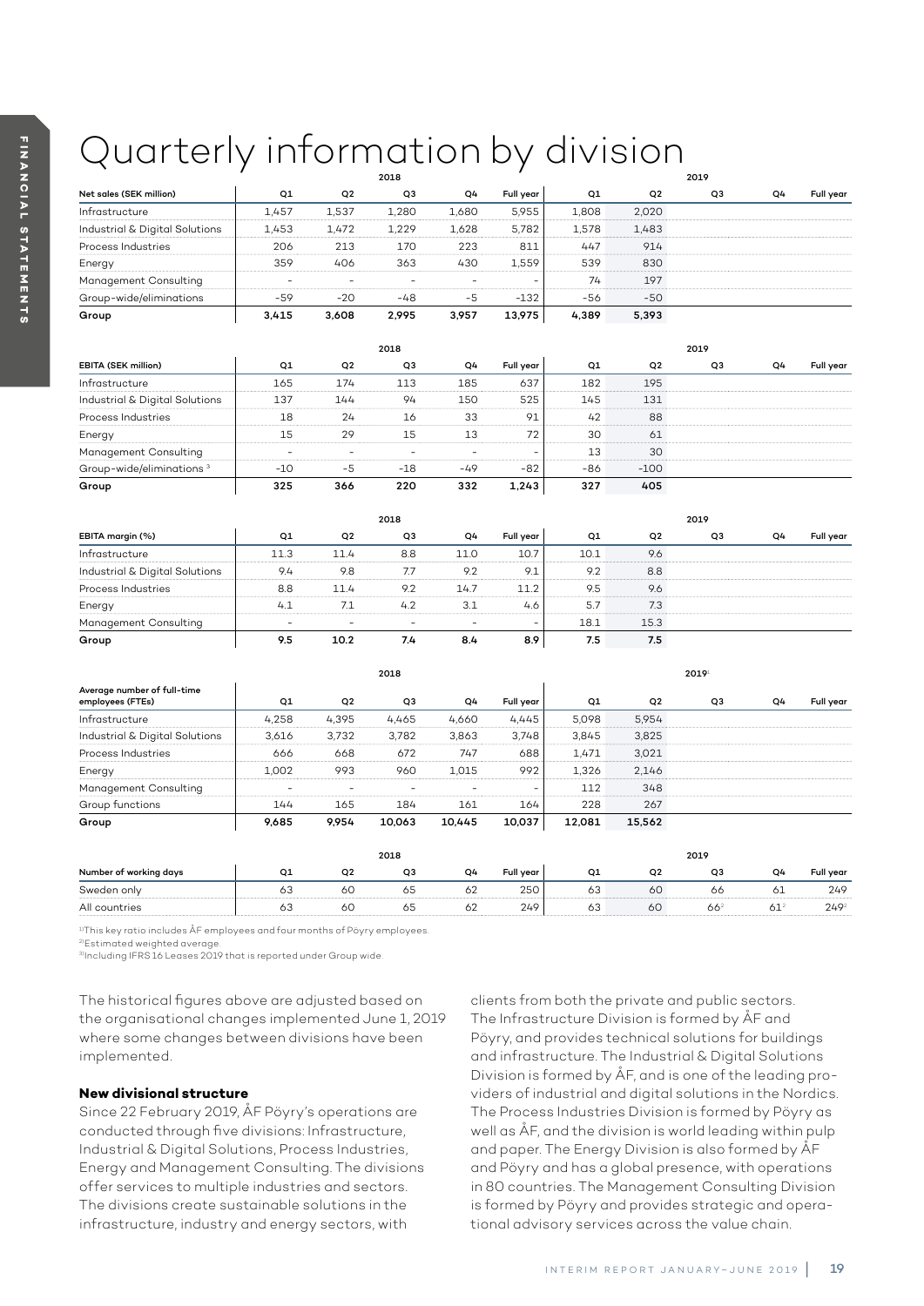# Quarterly information by division

|                                |       |       | 2018           |       |           | 2019  |                |                |                |           |
|--------------------------------|-------|-------|----------------|-------|-----------|-------|----------------|----------------|----------------|-----------|
| Net sales (SEK million)        | Q1    | Q2    | Q <sub>3</sub> | Q4    | Full year | Q1    | Q <sub>2</sub> | Q <sub>3</sub> | Q <sub>4</sub> | Full year |
| Infrastructure                 | 1.457 | 1,537 | 1,280          | 1,680 | 5,955     | 1,808 | 2,020          |                |                |           |
| Industrial & Digital Solutions | 1.453 | 1.472 | 1.229          | 1,628 | 5.782     | 1,578 | 1.483          |                |                |           |
| Process Industries             | 206   | 213   | 170            | 223   | 811       | 447   | 914            |                |                |           |
| Energy                         | 359   | 406   | 363            | 430   | 1.559     | 539   | 830            |                |                |           |
| Management Consulting          | ۰     |       | -              |       | ۰.        | 74    | 197            |                |                |           |
| Group-wide/eliminations        | $-59$ | $-20$ | $-48$          | $-5$  | $-132$    | $-56$ | $-50$          |                |                |           |
| Group                          | 3,415 | 3.608 | 2.995          | 3.957 | 13,975    | 4,389 | 5,393          |                |                |           |

|                                      |       |                | 2018  |       |           | 2019 |        |                |    |           |
|--------------------------------------|-------|----------------|-------|-------|-----------|------|--------|----------------|----|-----------|
| EBITA (SEK million)                  | Q1    | Q <sub>2</sub> | Q3    | Q4    | Full year | Q1   | Q2     | Q <sub>3</sub> | Q4 | Full year |
| Infrastructure                       | 165   | 174            | 113   | 185   | 637       | 182  | 195    |                |    |           |
| Industrial & Digital Solutions       | 137   | 144            | 94    | 150   | 525       | 145  | 131    |                |    |           |
| Process Industries                   | 18    | 24             | 16    | 33    | 91        | 42   | 88     |                |    |           |
| Energy                               | 15    | 29             | 15    | 13    | 72        | 30   | 61     |                |    |           |
| Management Consulting                |       |                | -     | ۰     | ۰         | 13   | 30     |                |    |           |
| Group-wide/eliminations <sup>3</sup> | $-10$ | $-5$           | $-18$ | $-49$ | -82       | -86  | $-100$ |                |    |           |
| Group                                | 325   | 366            | 220   | 332   | 1.243     | 327  | 405    |                |    |           |

|                                |      | 2019<br>2018 |     |      |                          |      |                |    |                |           |
|--------------------------------|------|--------------|-----|------|--------------------------|------|----------------|----|----------------|-----------|
| EBITA margin (%)               | Q1   | Q2           | Q3  | Q4   | Full year                | Q1   | Q <sub>2</sub> | Q3 | Q <sub>4</sub> | Full year |
| Infrastructure                 | 11.3 | 11.4         | 8.8 | 11.0 | 10.7                     | 10.1 | 9.6            |    |                |           |
| Industrial & Digital Solutions | 9.4  | 9.8          | 7.7 | 9.2  | 9.1                      | 9.2  | 8.8            |    |                |           |
| Process Industries             | 8.8  | 11.4         | 9.2 | 14.7 | 11.2                     | 9.5  | 9.6            |    |                |           |
| Energy                         | 4.1  |              | 4.2 | 3.1  | 4.6                      | 5.7  | 7.3            |    |                |           |
| Management Consulting          | -    | ۰            | -   |      | $\overline{\phantom{a}}$ | 18.1 | 15.3           |    |                |           |
| Group                          | 9.5  | 10.2         | 7.4 | 8.4  | 8.9                      | 7.5  | 7.5            |    |                |           |

|                                                 |                          | 2018<br>20191 |                |        |                          |        |                |    |    |           |
|-------------------------------------------------|--------------------------|---------------|----------------|--------|--------------------------|--------|----------------|----|----|-----------|
| Average number of full-time<br>employees (FTEs) | Q1                       | Q2            | Q <sub>3</sub> | Q4     | Full year                | Q1     | Q <sub>2</sub> | Q3 | Q4 | Full year |
| Infrastructure                                  | 4,258                    | 4,395         | 4,465          | 4,660  | 4,445                    | 5.098  | 5.954          |    |    |           |
| Industrial & Digital Solutions                  | 3.616                    | 3,732         | 3,782          | 3,863  | 3.748                    | 3,845  | 3,825          |    |    |           |
| Process Industries                              | 666                      | 668           | 672            | 747    | 688                      | 1,471  | 3.021          |    |    |           |
| Energy                                          | 1,002                    | 993           | 960            | 1.015  | 992                      | 1,326  | 2.146          |    |    |           |
| Management Consulting                           | $\overline{\phantom{a}}$ | -             | ۰              |        | $\overline{\phantom{a}}$ | 112    | 348            |    |    |           |
| Group functions                                 | 144                      | 165           | 184            | 161    | 164                      | 228    | 267            |    |    |           |
| Group                                           | 9,685                    | 9.954         | 10.063         | 10.445 | 10,037                   | 12,081 | 15,562         |    |    |           |
|                                                 |                          |               |                |        |                          |        |                |    |    |           |

| 2018                   |    |                |                | 2019 |                  |    |                |    |    |           |
|------------------------|----|----------------|----------------|------|------------------|----|----------------|----|----|-----------|
| Number of working days | Q1 | O <sub>2</sub> | O <sub>3</sub> | Q4   | <b>Full vear</b> | O1 | O <sub>2</sub> | O3 | Ο4 | Full vear |
| Sweden only            | 63 | 60             | 65             | 62   | 250              | 63 | 60             | 66 |    | 249       |
| All countries          | 63 | 6С             | 65             | 62   | 249              | 63 | 5C             | 66 | 61 | $249^2$   |

<sup>1)</sup>This key ratio includes ÅF employees and four months of Pöyry employees.

2)Estimated weighted average.

3)Including IFRS 16 Leases 2019 that is reported under Group wide.

The historical figures above are adjusted based on the organisational changes implemented June 1, 2019 where some changes between divisions have been implemented.

### **New divisional structure**

Since 22 February 2019, ÅF Pöyry's operations are conducted through five divisions: Infrastructure, Industrial & Digital Solutions, Process Industries, Energy and Management Consulting. The divisions offer services to multiple industries and sectors. The divisions create sustainable solutions in the infrastructure, industry and energy sectors, with

clients from both the private and public sectors. The Infrastructure Division is formed by ÅF and Pöyry, and provides technical solutions for buildings and infrastructure. The Industrial & Digital Solutions Division is formed by ÅF, and is one of the leading providers of industrial and digital solutions in the Nordics. The Process Industries Division is formed by Pöyry as well as ÅF, and the division is world leading within pulp and paper. The Energy Division is also formed by ÅF and Pöyry and has a global presence, with operations in 80 countries. The Management Consulting Division is formed by Pöyry and provides strategic and operational advisory services across the value chain.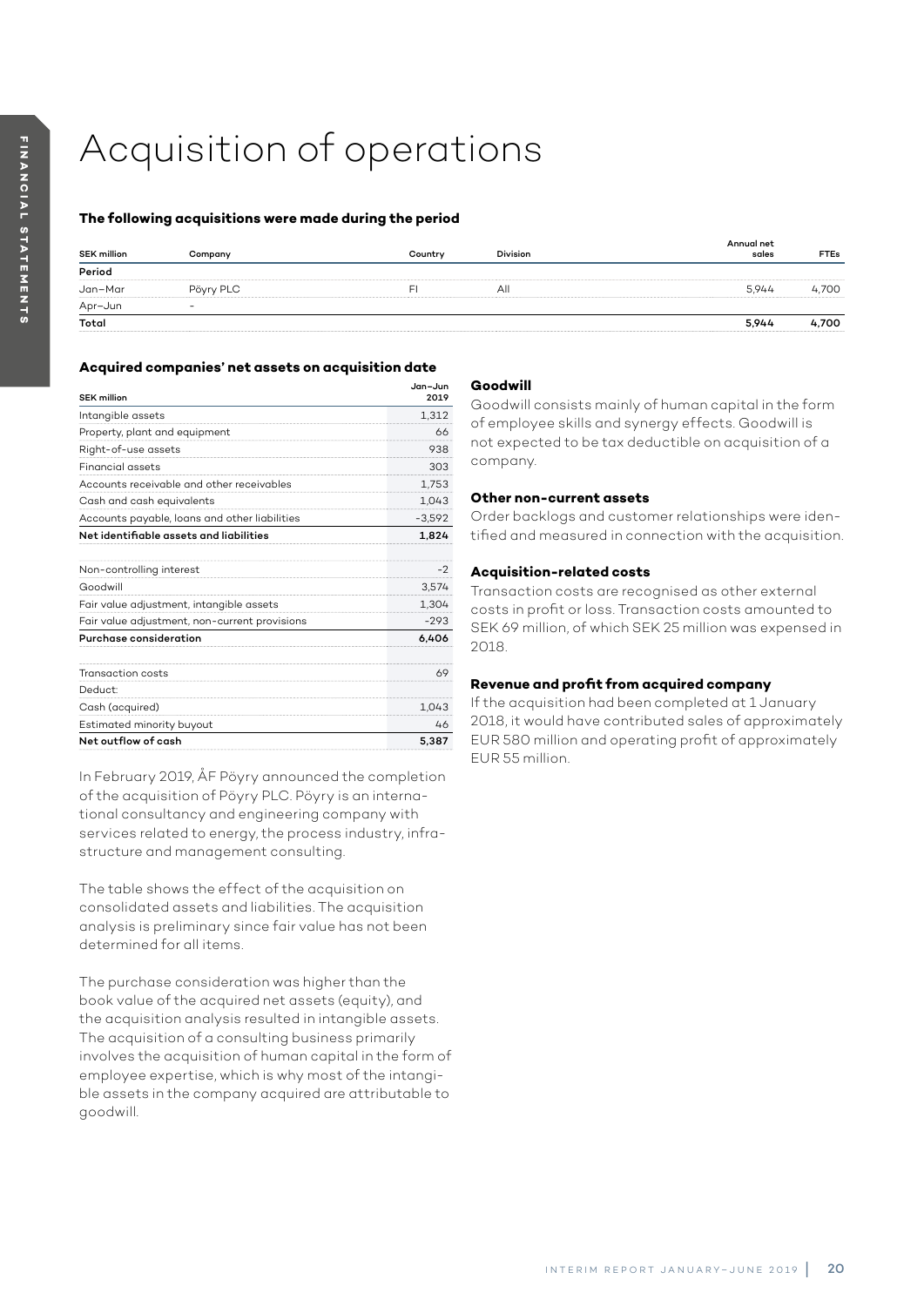# Acquisition of operations

### **The following acquisitions were made during the period**

| <b>SEK million</b> | Company   | Country | <b>Division</b> | Annual net<br>sales | <b>FTEs</b> |
|--------------------|-----------|---------|-----------------|---------------------|-------------|
| Period             |           |         |                 |                     |             |
| Jan-Mar            | Pöyry PLC |         | All             | 5.944               | 4.700       |
| Apr-Jun            |           |         |                 |                     |             |
| Total              |           |         |                 | 5,944               | 4.700       |
|                    |           |         |                 |                     |             |

## **Acquired companies' net assets on acquisition date**

| <b>SEK million</b>                            | Jan-Jun<br>2019 |
|-----------------------------------------------|-----------------|
| Intangible assets                             | 1,312           |
| Property, plant and equipment                 | 66              |
| Right-of-use assets                           | 938             |
| <b>Financial assets</b>                       | 303             |
| Accounts receivable and other receivables     | 1,753           |
| Cash and cash equivalents                     | 1,043           |
| Accounts payable, loans and other liabilities | $-3.592$        |
| Net identifiable assets and liabilities       | 1,824           |
| Non-controlling interest                      | -2              |
| Goodwill                                      | 3,574           |
| Fair value adjustment, intangible assets      | 1,304           |
| Fair value adjustment, non-current provisions | $-293$          |
| Purchase consideration                        | 6.406           |
| Transaction costs                             | 69              |
| Deduct:                                       |                 |
| Cash (acquired)                               | 1,043           |
| Estimated minority buyout                     | 46              |
| Net outflow of cash                           | 5.387           |

In February 2019, ÅF Pöyry announced the completion of the acquisition of Pöyry PLC. Pöyry is an international consultancy and engineering company with services related to energy, the process industry, infrastructure and management consulting.

The table shows the effect of the acquisition on consolidated assets and liabilities. The acquisition analysis is preliminary since fair value has not been determined for all items.

The purchase consideration was higher than the book value of the acquired net assets (equity), and the acquisition analysis resulted in intangible assets. The acquisition of a consulting business primarily involves the acquisition of human capital in the form of employee expertise, which is why most of the intangible assets in the company acquired are attributable to goodwill.

## **Goodwill**

Goodwill consists mainly of human capital in the form of employee skills and synergy effects. Goodwill is not expected to be tax deductible on acquisition of a company.

### **Other non-current assets**

Order backlogs and customer relationships were identified and measured in connection with the acquisition.

### **Acquisition-related costs**

Transaction costs are recognised as other external costs in profit or loss. Transaction costs amounted to SEK 69 million, of which SEK 25 million was expensed in 2018.

# **Revenue and profit from acquired company**

If the acquisition had been completed at 1 January 2018, it would have contributed sales of approximately EUR 580 million and operating profit of approximately EUR 55 million.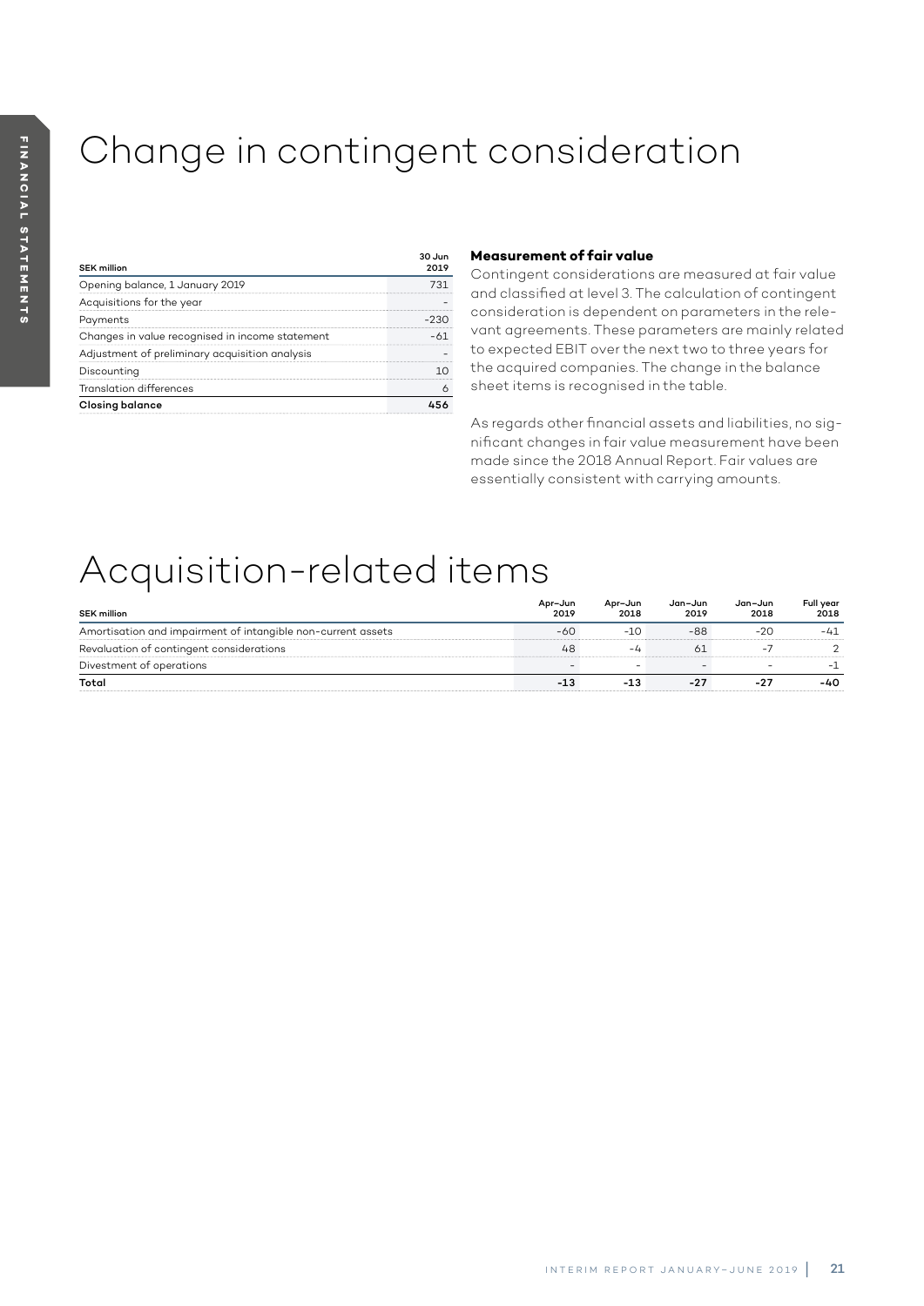# Change in contingent consideration

| <b>SEK million</b>                              | 30.11n |
|-------------------------------------------------|--------|
| Opening balance, 1 January 2019                 |        |
| Acquisitions for the year                       |        |
| Payments                                        | -230   |
| Changes in value recognised in income statement |        |
| Adjustment of preliminary acquisition analysis  |        |
| Discounting                                     |        |
| <b>Translation differences</b>                  |        |
| Closing balance                                 |        |

## **Measurement of fair value**

Contingent considerations are measured at fair value and classified at level 3. The calculation of contingent consideration is dependent on parameters in the relevant agreements. These parameters are mainly related to expected EBIT over the next two to three years for the acquired companies. The change in the balance sheet items is recognised in the table.

As regards other financial assets and liabilities, no significant changes in fair value measurement have been made since the 2018 Annual Report. Fair values are essentially consistent with carrying amounts.

# Acquisition-related items

| <b>SEK million</b>                                           | Apr-Jun<br>2019 | Apr-Jun<br>2018 | Jan-Jun<br>2019 | Jan-Jun<br>2018 | Full year<br>2018 |
|--------------------------------------------------------------|-----------------|-----------------|-----------------|-----------------|-------------------|
| Amortisation and impairment of intangible non-current assets | -60             | $-10$           | -88             | $-20$           | $-41$             |
| Revaluation of contingent considerations                     | 48              | -4              | 61              |                 |                   |
| Divestment of operations                                     |                 |                 |                 | -               | - 1               |
| Total                                                        | -13             | $-13$           | $-27$           | -27             | -40               |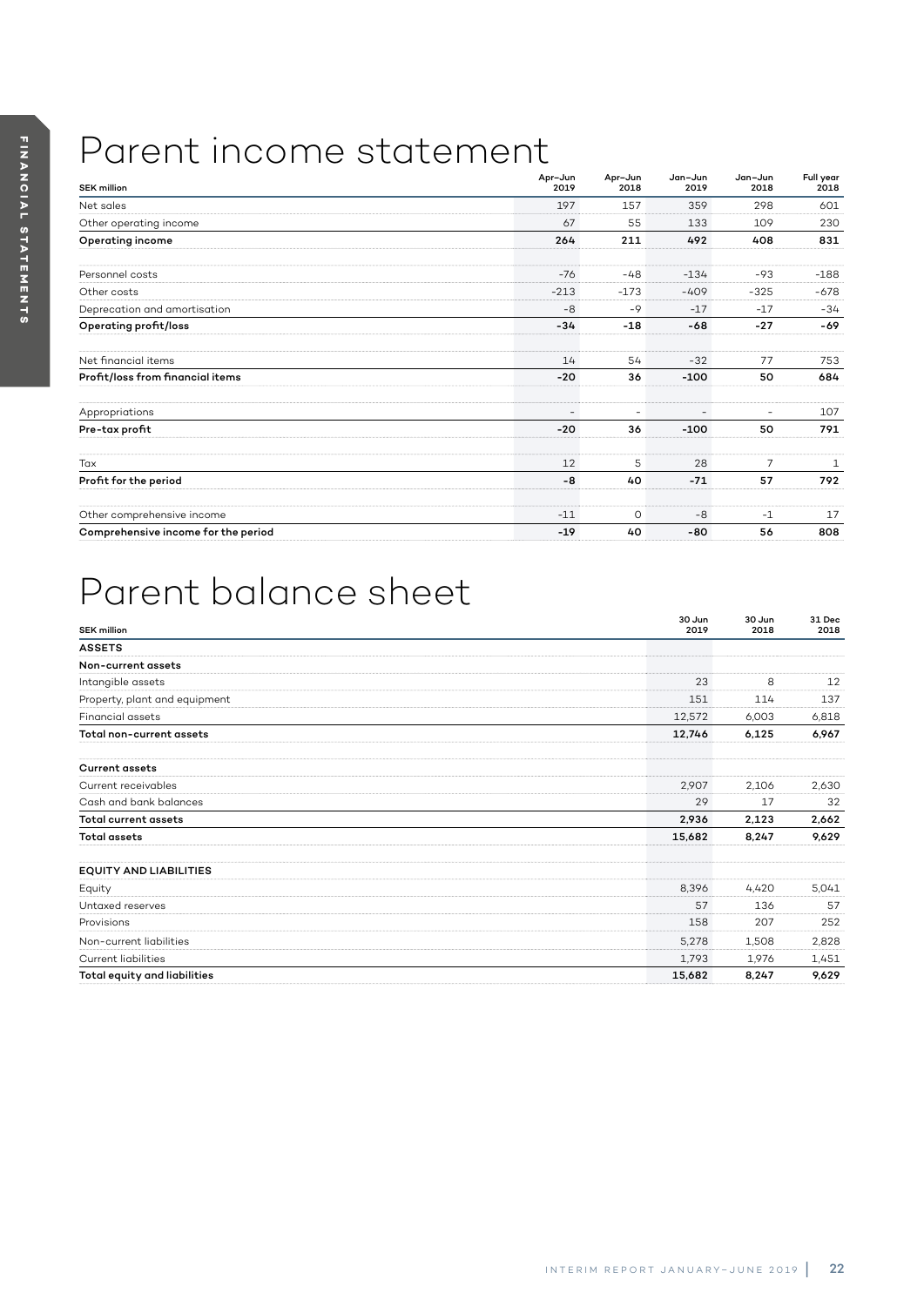# Parent income statement

| <b>SEK million</b>                  | Apr-Jun<br>2019          | Apr-Jun<br>2018 | Jan-Jun<br>2019 | Jan-Jun<br>2018 | Full year<br>2018 |
|-------------------------------------|--------------------------|-----------------|-----------------|-----------------|-------------------|
| Net sales                           | 197                      | 157             | 359             | 298             | 601               |
| Other operating income              | 67                       | 55              | 133             | 109             | 230               |
| Operating income                    | 264                      | 211             | 492             | 408             | 831               |
| Personnel costs                     | $-76$                    | $-48$           | $-134$          | $-93$           | $-188$            |
| Other costs                         | $-213$                   | $-173$          | $-409$          | $-325$          | $-678$            |
| Deprecation and amortisation        | $-8$                     | $-9$            | $-17$           | $-17$           | -34               |
| Operating profit/loss               | $-34$                    | $-18$           | $-68$           | $-27$           | -69               |
| Net financial items                 | 14                       | 54              | $-32$           | 77              | 753               |
| Profit/loss from financial items    | $-20$                    | 36              | $-100$          | 50              | 684               |
| Appropriations                      | $\overline{\phantom{a}}$ | -               |                 |                 | 107               |
| Pre-tax profit                      | $-20$                    | 36              | $-100$          | 50              | 791               |
| Tax                                 | 12                       | 5               | 28              | 7               | $\mathbf{1}$      |
| Profit for the period               | -8                       | 40              | $-71$           | 57              | 792               |
| Other comprehensive income          | $-11$                    | 0               | $-8$            | $-1$            | 17                |
| Comprehensive income for the period | $-19$                    | 40              | $-80$           | 56              | 808               |

# Parent balance sheet

| <b>SEK million</b>            | 30 Jun<br>2019 | 30 Jun<br>2018 | 31 Dec<br>2018 |
|-------------------------------|----------------|----------------|----------------|
| <b>ASSETS</b>                 |                |                |                |
| Non-current assets            |                |                |                |
| Intangible assets             | 23             | 8              | 12             |
| Property, plant and equipment | 151            | 114            | 137            |
| <b>Financial assets</b>       | 12,572         | 6,003          | 6,818          |
| Total non-current assets      | 12,746         | 6,125          | 6,967          |
| <b>Current assets</b>         |                |                |                |
| Current receivables           | 2,907          | 2,106          | 2,630          |
| Cash and bank balances        | 29             | 17             | 32             |
| <b>Total current assets</b>   | 2,936          | 2,123          | 2,662          |
| <b>Total assets</b>           | 15,682         | 8,247          | 9,629          |
| <b>EQUITY AND LIABILITIES</b> |                |                |                |
| Equity                        | 8,396          | 4,420          | 5,041          |
| Untaxed reserves              | 57             | 136            | 57             |
| Provisions                    | 158            | 207            | 252            |
| Non-current liabilities       | 5,278          | 1,508          | 2,828          |
| <b>Current liabilities</b>    | 1,793          | 1,976          | 1,451          |
| Total equity and liabilities  | 15,682         | 8,247          | 9,629          |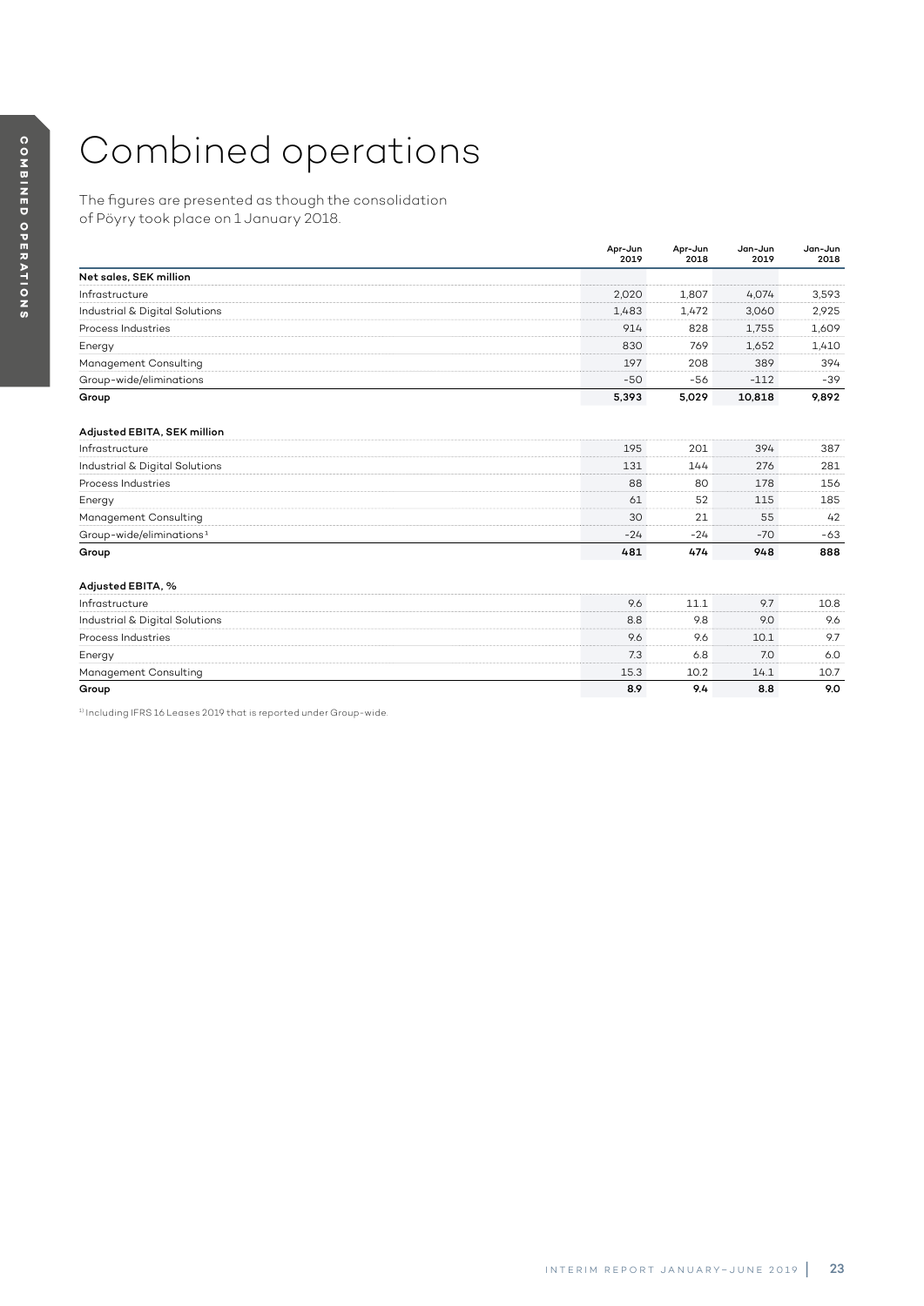# Combined operations

The figures are presented as though the consolidation of Pöyry took place on 1 January 2018.

|                                      | Apr-Jun<br>2019 | Apr-Jun<br>2018 | Jan-Jun<br>2019 | Jan-Jun<br>2018 |
|--------------------------------------|-----------------|-----------------|-----------------|-----------------|
| Net sales, SEK million               |                 |                 |                 |                 |
| Infrastructure                       | 2,020           | 1,807           | 4,074           | 3,593           |
| Industrial & Digital Solutions       | 1,483           | 1,472           | 3,060           | 2,925           |
| Process Industries                   | 914             | 828             | 1,755           | 1,609           |
| Energy                               | 830             | 769             | 1,652           | 1,410           |
| Management Consulting                | 197             | 208             | 389             | 394             |
| Group-wide/eliminations              | $-50$           | $-56$           | $-112$          | $-39$           |
| Group                                | 5,393           | 5,029           | 10,818          | 9,892           |
| Adjusted EBITA, SEK million          |                 |                 |                 |                 |
| Infrastructure                       | 195             | 201             | 394             | 387             |
| Industrial & Digital Solutions       | 131             | 144             | 276             | 281             |
| Process Industries                   | 88              | 80              | 178             | 156             |
| Energy                               | 61              | 52              | 115             | 185             |
| Management Consulting                | 30              | 21              | 55              | 42              |
| Group-wide/eliminations <sup>1</sup> | $-24$           | $-24$           | $-70$           | $-63$           |
| Group                                | 481             | 474             | 948             | 888             |
| Adjusted EBITA, %                    |                 |                 |                 |                 |
| Infrastructure                       | 9.6             | 11.1            | 9.7             | 10.8            |
| Industrial & Digital Solutions       | 8.8             | 9.8             | 9.0             | 9.6             |
| Process Industries                   | 9.6             | 9.6             | 10.1            | 9.7             |
| Energy                               | 7.3             | 6.8             | 7.0             | 6.0             |
| Management Consulting                | 15.3            | 10.2            | 14.1            | 10.7            |
| Group                                | 8.9             | 9.4             | 8.8             | 9.0             |
| .                                    |                 |                 |                 |                 |

1) Including IFRS 16 Leases 2019 that is reported under Group-wide.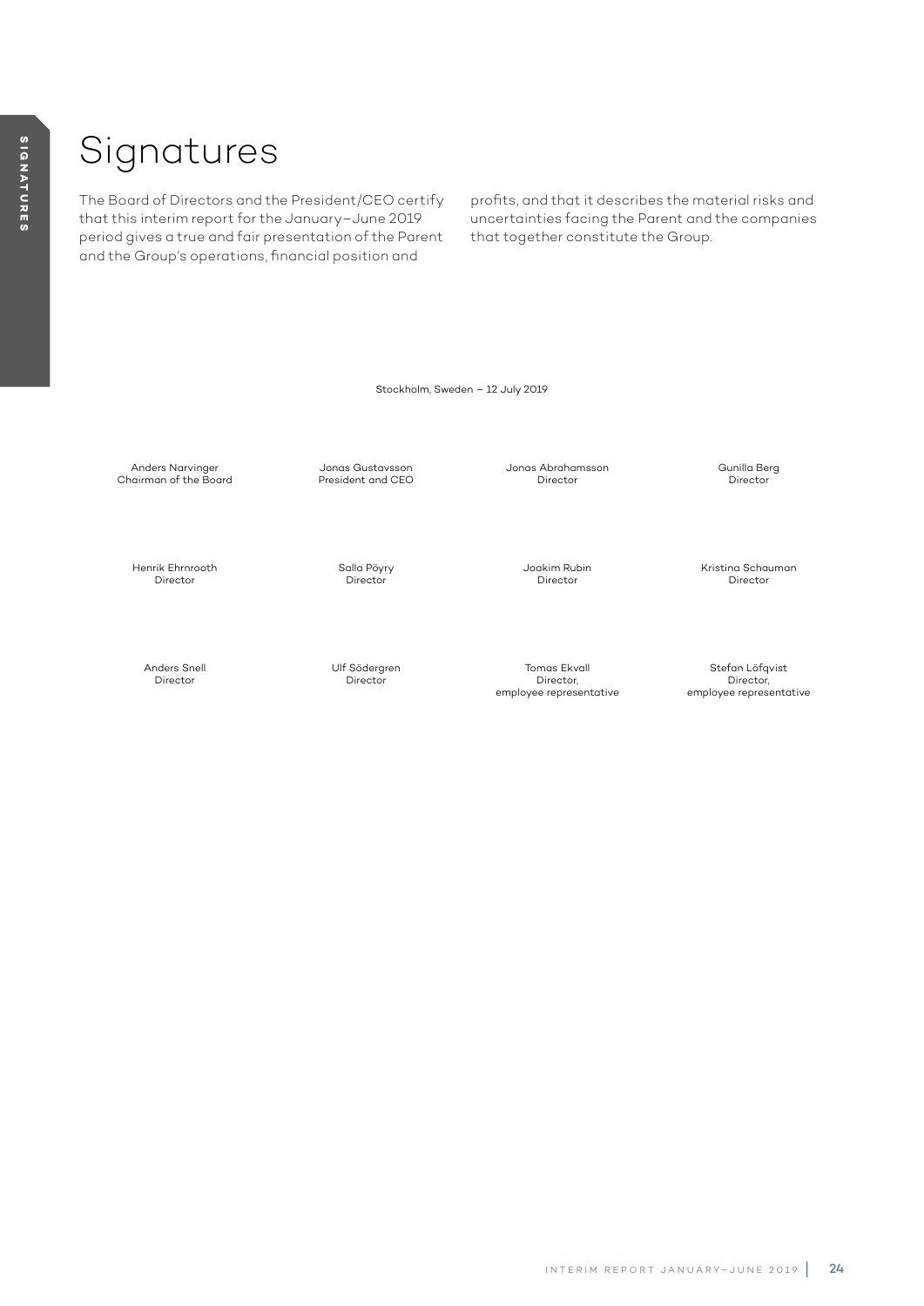# Signatures

The Board of Directors and the President/CEO certify that this interim report for the January–June 2019 period gives a true and fair presentation of the Parent and the Group's operations, financial position and

profits, and that it describes the material risks and uncertainties facing the Parent and the companies that together constitute the Group.

Stockholm, Sweden – 12 July 2019

Anders Narvinger Chairman of the Board

> Henrik Ehrnrooth Director

Jonas Gustavsson President and CEO

> Salla Pöyry **Director**

Jonas Abrahamsson Director

> Joakim Rubin Director

Kristina Schauman Director

Gunilla Berg Director

Anders Snell Director

Ulf Södergren **Director** 

Tomas Ekvall Director, employee representative

Stefan Löfqvist Director, employee representative